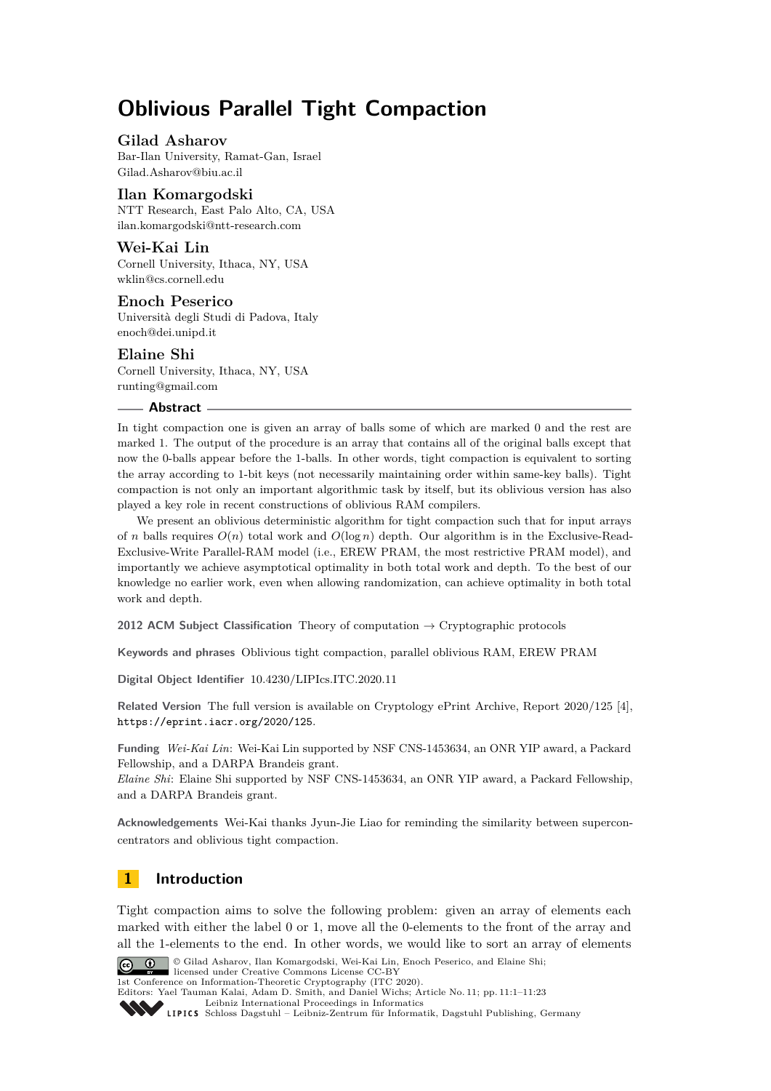# **Oblivious Parallel Tight Compaction**

# **Gilad Asharov**

Bar-Ilan University, Ramat-Gan, Israel [Gilad.Asharov@biu.ac.il](mailto:Gilad.Asharov@biu.ac.il)

# **Ilan Komargodski**

NTT Research, East Palo Alto, CA, USA [ilan.komargodski@ntt-research.com](mailto:ilan.komargodski@ntt-research.com)

# **Wei-Kai Lin**

Cornell University, Ithaca, NY, USA [wklin@cs.cornell.edu](mailto:wklin@cs.cornell.edu)

# **Enoch Peserico**

Università degli Studi di Padova, Italy [enoch@dei.unipd.it](mailto:enoch@dei.unipd.it)

# **Elaine Shi**

Cornell University, Ithaca, NY, USA [runting@gmail.com](mailto:runting@gmail.com)

### **Abstract**

In tight compaction one is given an array of balls some of which are marked 0 and the rest are marked 1. The output of the procedure is an array that contains all of the original balls except that now the 0-balls appear before the 1-balls. In other words, tight compaction is equivalent to sorting the array according to 1-bit keys (not necessarily maintaining order within same-key balls). Tight compaction is not only an important algorithmic task by itself, but its oblivious version has also played a key role in recent constructions of oblivious RAM compilers.

We present an oblivious deterministic algorithm for tight compaction such that for input arrays of *n* balls requires  $O(n)$  total work and  $O(\log n)$  depth. Our algorithm is in the Exclusive-Read-Exclusive-Write Parallel-RAM model (i.e., EREW PRAM, the most restrictive PRAM model), and importantly we achieve asymptotical optimality in both total work and depth. To the best of our knowledge no earlier work, even when allowing randomization, can achieve optimality in both total work and depth.

**2012 ACM Subject Classification** Theory of computation → Cryptographic protocols

**Keywords and phrases** Oblivious tight compaction, parallel oblivious RAM, EREW PRAM

**Digital Object Identifier** [10.4230/LIPIcs.ITC.2020.11](https://doi.org/10.4230/LIPIcs.ITC.2020.11)

**Related Version** The full version is available on Cryptology ePrint Archive, Report 2020/125 [\[4\]](#page-21-0), <https://eprint.iacr.org/2020/125>.

**Funding** *Wei-Kai Lin*: Wei-Kai Lin supported by NSF CNS-1453634, an ONR YIP award, a Packard Fellowship, and a DARPA Brandeis grant.

*Elaine Shi*: Elaine Shi supported by NSF CNS-1453634, an ONR YIP award, a Packard Fellowship, and a DARPA Brandeis grant.

**Acknowledgements** Wei-Kai thanks Jyun-Jie Liao for reminding the similarity between superconcentrators and oblivious tight compaction.

# **1 Introduction**

Tight compaction aims to solve the following problem: given an array of elements each marked with either the label 0 or 1, move all the 0-elements to the front of the array and all the 1-elements to the end. In other words, we would like to sort an array of elements



© Gilad Asharov, Ilan Komargodski, Wei-Kai Lin, Enoch Peserico, and Elaine Shi;  $\boxed{6}$  0 licensed under Creative Commons License CC-BY

1st Conference on Information-Theoretic Cryptography (ITC 2020).

Editors: Yael Tauman Kalai, Adam D. Smith, and Daniel Wichs; Article No. 11; pp. 11:1–11[:23](#page-22-0)

[Leibniz International Proceedings in Informatics](https://www.dagstuhl.de/lipics/)

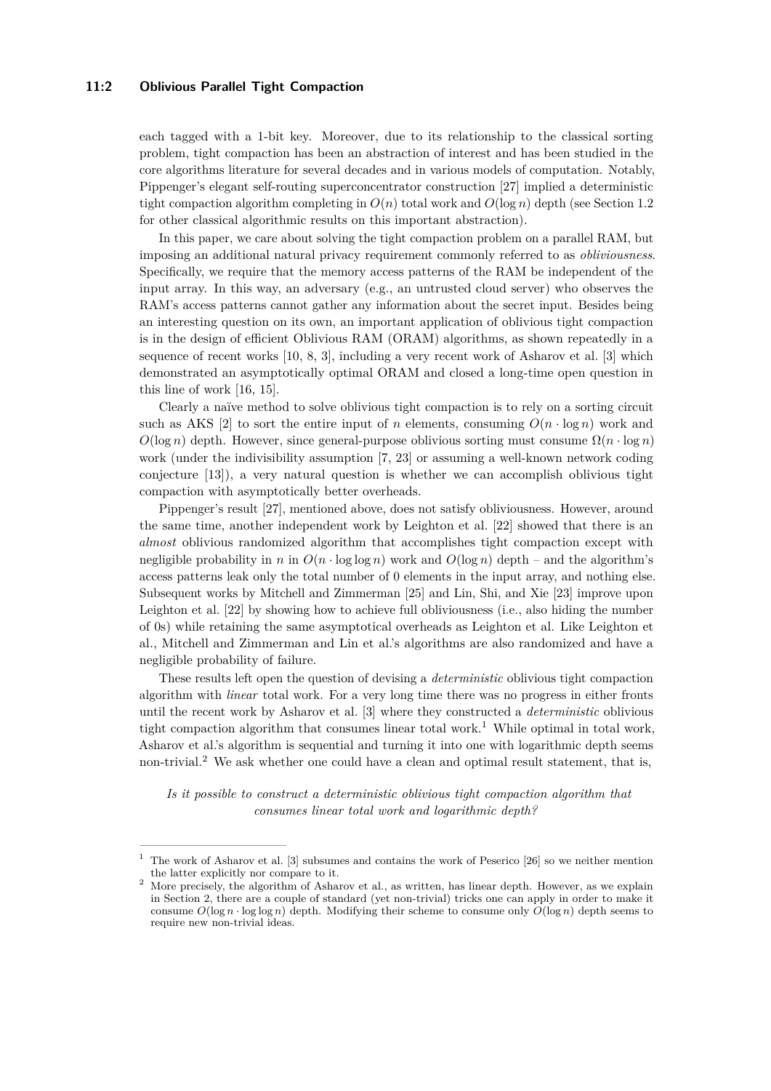#### **11:2 Oblivious Parallel Tight Compaction**

each tagged with a 1-bit key. Moreover, due to its relationship to the classical sorting problem, tight compaction has been an abstraction of interest and has been studied in the core algorithms literature for several decades and in various models of computation. Notably, Pippenger's elegant self-routing superconcentrator construction [\[27\]](#page-22-1) implied a deterministic tight compaction algorithm completing in  $O(n)$  total work and  $O(\log n)$  depth (see Section [1.2](#page-2-0)) for other classical algorithmic results on this important abstraction).

In this paper, we care about solving the tight compaction problem on a parallel RAM, but imposing an additional natural privacy requirement commonly referred to as *obliviousness*. Specifically, we require that the memory access patterns of the RAM be independent of the input array. In this way, an adversary (e.g., an untrusted cloud server) who observes the RAM's access patterns cannot gather any information about the secret input. Besides being an interesting question on its own, an important application of oblivious tight compaction is in the design of efficient Oblivious RAM (ORAM) algorithms, as shown repeatedly in a sequence of recent works [\[10,](#page-21-1) [8,](#page-21-2) [3\]](#page-21-3), including a very recent work of Asharov et al. [\[3\]](#page-21-3) which demonstrated an asymptotically optimal ORAM and closed a long-time open question in this line of work [\[16,](#page-21-4) [15\]](#page-21-5).

Clearly a naïve method to solve oblivious tight compaction is to rely on a sorting circuit such as AKS [\[2\]](#page-21-6) to sort the entire input of *n* elements, consuming  $O(n \cdot \log n)$  work and  $O(\log n)$  depth. However, since general-purpose oblivious sorting must consume  $\Omega(n \cdot \log n)$ work (under the indivisibility assumption [\[7,](#page-21-7) [23\]](#page-22-2) or assuming a well-known network coding conjecture [\[13\]](#page-21-8)), a very natural question is whether we can accomplish oblivious tight compaction with asymptotically better overheads.

Pippenger's result [\[27\]](#page-22-1), mentioned above, does not satisfy obliviousness. However, around the same time, another independent work by Leighton et al. [\[22\]](#page-22-3) showed that there is an *almost* oblivious randomized algorithm that accomplishes tight compaction except with negligible probability in *n* in  $O(n \cdot \log \log n)$  work and  $O(\log n)$  depth – and the algorithm's access patterns leak only the total number of 0 elements in the input array, and nothing else. Subsequent works by Mitchell and Zimmerman [\[25\]](#page-22-4) and Lin, Shi, and Xie [\[23\]](#page-22-2) improve upon Leighton et al. [\[22\]](#page-22-3) by showing how to achieve full obliviousness (i.e., also hiding the number of 0s) while retaining the same asymptotical overheads as Leighton et al. Like Leighton et al., Mitchell and Zimmerman and Lin et al.'s algorithms are also randomized and have a negligible probability of failure.

These results left open the question of devising a *deterministic* oblivious tight compaction algorithm with *linear* total work. For a very long time there was no progress in either fronts until the recent work by Asharov et al. [\[3\]](#page-21-3) where they constructed a *deterministic* oblivious tight compaction algorithm that consumes linear total work.<sup>[1](#page-1-0)</sup> While optimal in total work, Asharov et al.'s algorithm is sequential and turning it into one with logarithmic depth seems non-trivial.[2](#page-1-1) We ask whether one could have a clean and optimal result statement, that is,

*Is it possible to construct a deterministic oblivious tight compaction algorithm that consumes linear total work and logarithmic depth?*

<span id="page-1-0"></span><sup>1</sup> The work of Asharov et al. [\[3\]](#page-21-3) subsumes and contains the work of Peserico [\[26\]](#page-22-5) so we neither mention the latter explicitly nor compare to it.

<span id="page-1-1"></span><sup>2</sup> More precisely, the algorithm of Asharov et al., as written, has linear depth. However, as we explain in Section [2,](#page-3-0) there are a couple of standard (yet non-trivial) tricks one can apply in order to make it consume  $O(\log n \cdot \log \log n)$  depth. Modifying their scheme to consume only  $O(\log n)$  depth seems to require new non-trivial ideas.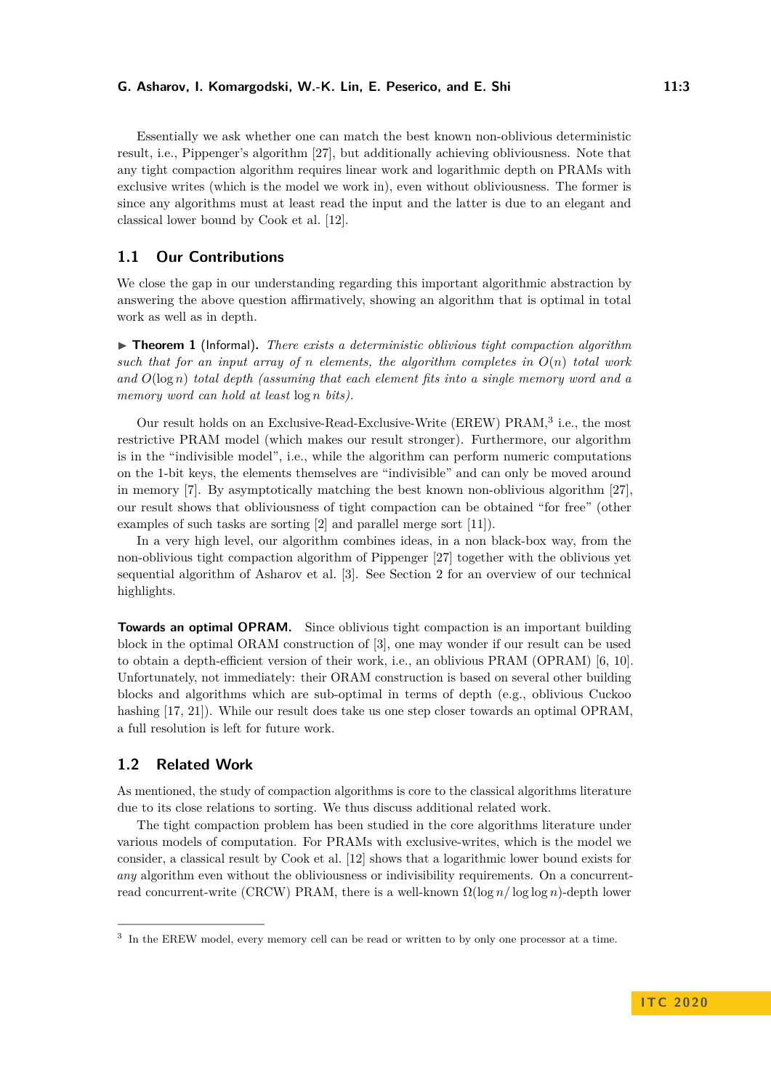Essentially we ask whether one can match the best known non-oblivious deterministic result, i.e., Pippenger's algorithm [\[27\]](#page-22-1), but additionally achieving obliviousness. Note that any tight compaction algorithm requires linear work and logarithmic depth on PRAMs with exclusive writes (which is the model we work in), even without obliviousness. The former is since any algorithms must at least read the input and the latter is due to an elegant and classical lower bound by Cook et al. [\[12\]](#page-21-9).

# **1.1 Our Contributions**

We close the gap in our understanding regarding this important algorithmic abstraction by answering the above question affirmatively, showing an algorithm that is optimal in total work as well as in depth.

<span id="page-2-2"></span>▶ **Theorem 1** (Informal). *There exists a deterministic oblivious tight compaction algorithm* such that for an input array of *n* elements, the algorithm completes in  $O(n)$  total work *and O*(log *n*) *total depth (assuming that each element fits into a single memory word and a memory word can hold at least* log *n bits).*

Our result holds on an Exclusive-Read-Exclusive-Write (EREW) PRAM,<sup>[3](#page-2-1)</sup> i.e., the most restrictive PRAM model (which makes our result stronger). Furthermore, our algorithm is in the "indivisible model", i.e., while the algorithm can perform numeric computations on the 1-bit keys, the elements themselves are "indivisible" and can only be moved around in memory [\[7\]](#page-21-7). By asymptotically matching the best known non-oblivious algorithm [\[27\]](#page-22-1), our result shows that obliviousness of tight compaction can be obtained "for free" (other examples of such tasks are sorting [\[2\]](#page-21-6) and parallel merge sort [\[11\]](#page-21-10)).

In a very high level, our algorithm combines ideas, in a non black-box way, from the non-oblivious tight compaction algorithm of Pippenger [\[27\]](#page-22-1) together with the oblivious yet sequential algorithm of Asharov et al. [\[3\]](#page-21-3). See Section [2](#page-3-0) for an overview of our technical highlights.

**Towards an optimal OPRAM.** Since oblivious tight compaction is an important building block in the optimal ORAM construction of [\[3\]](#page-21-3), one may wonder if our result can be used to obtain a depth-efficient version of their work, i.e., an oblivious PRAM (OPRAM) [\[6,](#page-21-11) [10\]](#page-21-1). Unfortunately, not immediately: their ORAM construction is based on several other building blocks and algorithms which are sub-optimal in terms of depth (e.g., oblivious Cuckoo hashing [\[17,](#page-21-12) [21\]](#page-21-13)). While our result does take us one step closer towards an optimal OPRAM, a full resolution is left for future work.

# <span id="page-2-0"></span>**1.2 Related Work**

As mentioned, the study of compaction algorithms is core to the classical algorithms literature due to its close relations to sorting. We thus discuss additional related work.

The tight compaction problem has been studied in the core algorithms literature under various models of computation. For PRAMs with exclusive-writes, which is the model we consider, a classical result by Cook et al. [\[12\]](#page-21-9) shows that a logarithmic lower bound exists for *any* algorithm even without the obliviousness or indivisibility requirements. On a concurrentread concurrent-write (CRCW) PRAM, there is a well-known Ω(log *n/* log log *n*)-depth lower

<span id="page-2-1"></span><sup>&</sup>lt;sup>3</sup> In the EREW model, every memory cell can be read or written to by only one processor at a time.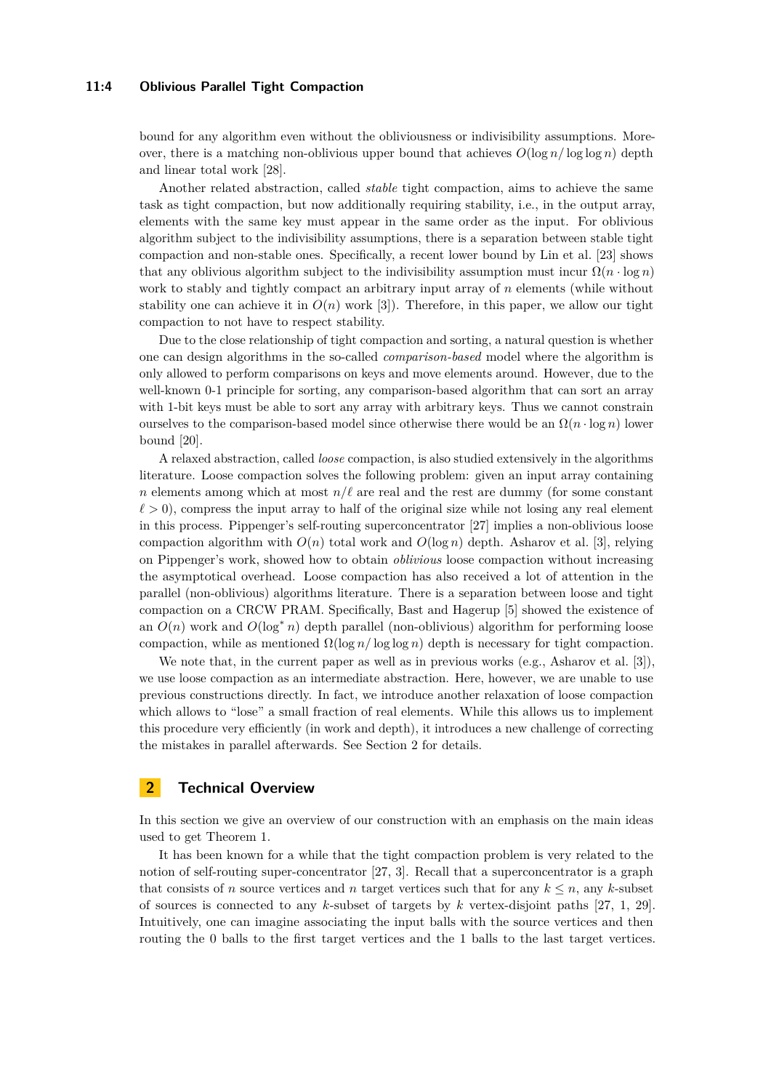#### **11:4 Oblivious Parallel Tight Compaction**

bound for any algorithm even without the obliviousness or indivisibility assumptions. Moreover, there is a matching non-oblivious upper bound that achieves  $O(\log n / \log \log n)$  depth and linear total work [\[28\]](#page-22-6).

Another related abstraction, called *stable* tight compaction, aims to achieve the same task as tight compaction, but now additionally requiring stability, i.e., in the output array, elements with the same key must appear in the same order as the input. For oblivious algorithm subject to the indivisibility assumptions, there is a separation between stable tight compaction and non-stable ones. Specifically, a recent lower bound by Lin et al. [\[23\]](#page-22-2) shows that any oblivious algorithm subject to the indivisibility assumption must incur  $\Omega(n \cdot \log n)$ work to stably and tightly compact an arbitrary input array of *n* elements (while without stability one can achieve it in  $O(n)$  work [\[3\]](#page-21-3)). Therefore, in this paper, we allow our tight compaction to not have to respect stability.

Due to the close relationship of tight compaction and sorting, a natural question is whether one can design algorithms in the so-called *comparison-based* model where the algorithm is only allowed to perform comparisons on keys and move elements around. However, due to the well-known 0-1 principle for sorting, any comparison-based algorithm that can sort an array with 1-bit keys must be able to sort any array with arbitrary keys. Thus we cannot constrain ourselves to the comparison-based model since otherwise there would be an  $\Omega(n \cdot \log n)$  lower bound [\[20\]](#page-21-14).

A relaxed abstraction, called *loose* compaction, is also studied extensively in the algorithms literature. Loose compaction solves the following problem: given an input array containing *n* elements among which at most  $n/\ell$  are real and the rest are dummy (for some constant  $\ell > 0$ , compress the input array to half of the original size while not losing any real element in this process. Pippenger's self-routing superconcentrator [\[27\]](#page-22-1) implies a non-oblivious loose compaction algorithm with  $O(n)$  total work and  $O(\log n)$  depth. Asharov et al. [\[3\]](#page-21-3), relying on Pippenger's work, showed how to obtain *oblivious* loose compaction without increasing the asymptotical overhead. Loose compaction has also received a lot of attention in the parallel (non-oblivious) algorithms literature. There is a separation between loose and tight compaction on a CRCW PRAM. Specifically, Bast and Hagerup [\[5\]](#page-21-15) showed the existence of an  $O(n)$  work and  $O(\log^* n)$  depth parallel (non-oblivious) algorithm for performing loose compaction, while as mentioned  $\Omega(\log n / \log \log n)$  depth is necessary for tight compaction.

We note that, in the current paper as well as in previous works (e.g., Asharov et al. [\[3\]](#page-21-3)). we use loose compaction as an intermediate abstraction. Here, however, we are unable to use previous constructions directly. In fact, we introduce another relaxation of loose compaction which allows to "lose" a small fraction of real elements. While this allows us to implement this procedure very efficiently (in work and depth), it introduces a new challenge of correcting the mistakes in parallel afterwards. See Section [2](#page-3-0) for details.

# <span id="page-3-0"></span>**2 Technical Overview**

In this section we give an overview of our construction with an emphasis on the main ideas used to get Theorem [1.](#page-2-2)

It has been known for a while that the tight compaction problem is very related to the notion of self-routing super-concentrator [\[27,](#page-22-1) [3\]](#page-21-3). Recall that a superconcentrator is a graph that consists of *n* source vertices and *n* target vertices such that for any  $k \leq n$ , any *k*-subset of sources is connected to any *k*-subset of targets by *k* vertex-disjoint paths [\[27,](#page-22-1) [1,](#page-21-16) [29\]](#page-22-7). Intuitively, one can imagine associating the input balls with the source vertices and then routing the 0 balls to the first target vertices and the 1 balls to the last target vertices.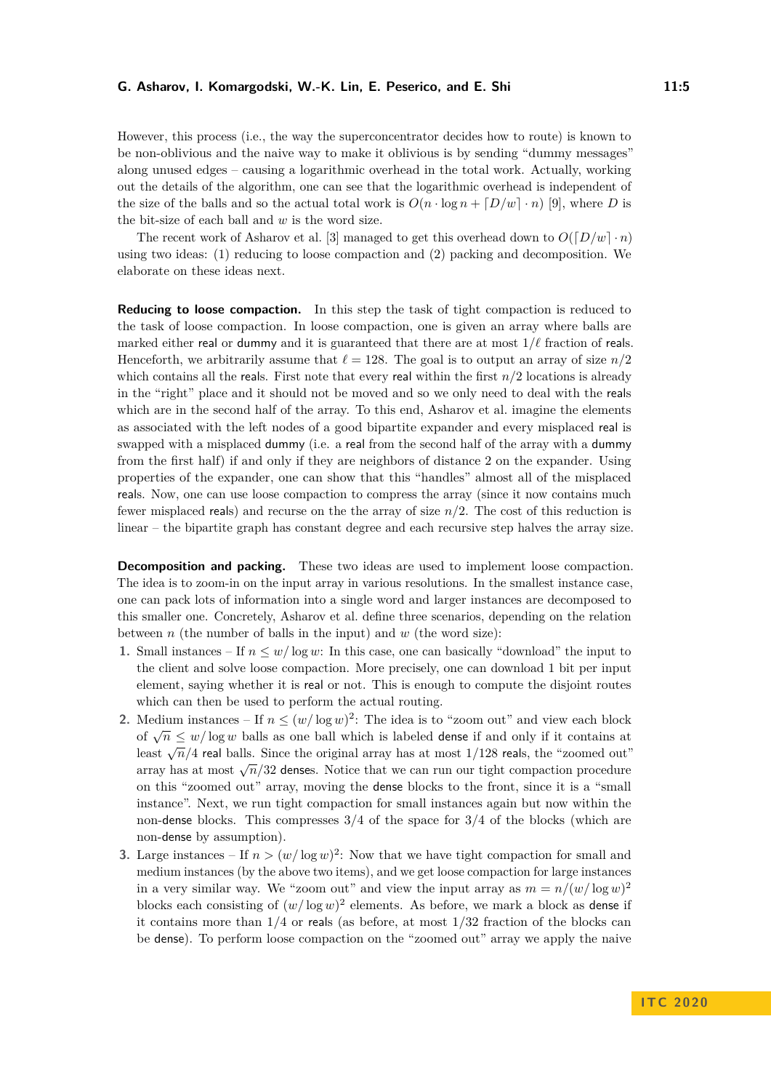However, this process (i.e., the way the superconcentrator decides how to route) is known to be non-oblivious and the naive way to make it oblivious is by sending "dummy messages" along unused edges – causing a logarithmic overhead in the total work. Actually, working out the details of the algorithm, one can see that the logarithmic overhead is independent of the size of the balls and so the actual total work is  $O(n \cdot \log n + [D/w] \cdot n)$  [\[9\]](#page-21-17), where *D* is the bit-size of each ball and *w* is the word size.

The recent work of Asharov et al. [\[3\]](#page-21-3) managed to get this overhead down to  $O([D/w] \cdot n)$ using two ideas: (1) reducing to loose compaction and (2) packing and decomposition. We elaborate on these ideas next.

**Reducing to loose compaction.** In this step the task of tight compaction is reduced to the task of loose compaction. In loose compaction, one is given an array where balls are marked either real or dummy and it is guaranteed that there are at most  $1/\ell$  fraction of reals. Henceforth, we arbitrarily assume that  $\ell = 128$ . The goal is to output an array of size  $n/2$ which contains all the reals. First note that every real within the first  $n/2$  locations is already in the "right" place and it should not be moved and so we only need to deal with the reals which are in the second half of the array. To this end, Asharov et al. imagine the elements as associated with the left nodes of a good bipartite expander and every misplaced real is swapped with a misplaced dummy (i.e. a real from the second half of the array with a dummy from the first half) if and only if they are neighbors of distance 2 on the expander. Using properties of the expander, one can show that this "handles" almost all of the misplaced reals. Now, one can use loose compaction to compress the array (since it now contains much fewer misplaced reals) and recurse on the the array of size *n/*2. The cost of this reduction is linear – the bipartite graph has constant degree and each recursive step halves the array size.

**Decomposition and packing.** These two ideas are used to implement loose compaction. The idea is to zoom-in on the input array in various resolutions. In the smallest instance case, one can pack lots of information into a single word and larger instances are decomposed to this smaller one. Concretely, Asharov et al. define three scenarios, depending on the relation between *n* (the number of balls in the input) and *w* (the word size):

- **1.** Small instances If  $n \leq w/\log w$ : In this case, one can basically "download" the input to the client and solve loose compaction. More precisely, one can download 1 bit per input element, saying whether it is real or not. This is enough to compute the disjoint routes which can then be used to perform the actual routing.
- **2.** Medium instances If  $n \leq (w/\log w)^2$ : The idea is to "zoom out" and view each block of  $\sqrt{n} \leq w/\log w$  balls as one ball which is labeled dense if and only if it contains at least  $\sqrt{n}/4$  real balls. Since the original array has at most  $1/128$  reals, the "zoomed out"  $\frac{\sqrt{n}}{4}$  real bans. Since the original array has at most 1/123 reals, the 200 med out array has at most  $\sqrt{n}/32$  denses. Notice that we can run our tight compaction procedure on this "zoomed out" array, moving the dense blocks to the front, since it is a "small instance". Next, we run tight compaction for small instances again but now within the non-dense blocks. This compresses 3*/*4 of the space for 3*/*4 of the blocks (which are non-dense by assumption).
- **3.** Large instances If  $n > (w/\log w)^2$ : Now that we have tight compaction for small and medium instances (by the above two items), and we get loose compaction for large instances in a very similar way. We "zoom out" and view the input array as  $m = n/(w/\log w)^2$ blocks each consisting of  $(w/\log w)^2$  elements. As before, we mark a block as dense if it contains more than  $1/4$  or reals (as before, at most  $1/32$  fraction of the blocks can be dense). To perform loose compaction on the "zoomed out" array we apply the naive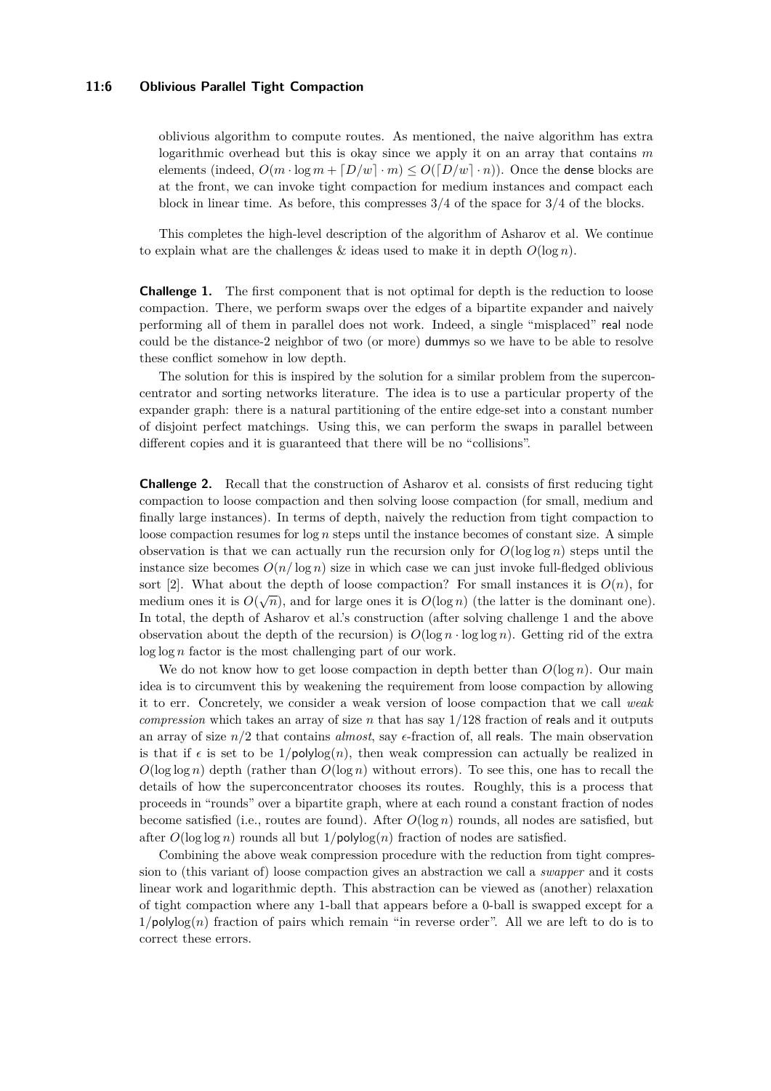#### **11:6 Oblivious Parallel Tight Compaction**

oblivious algorithm to compute routes. As mentioned, the naive algorithm has extra logarithmic overhead but this is okay since we apply it on an array that contains *m* elements (indeed,  $O(m \cdot \log m + [D/w] \cdot m) \leq O([D/w] \cdot n)$ ). Once the dense blocks are at the front, we can invoke tight compaction for medium instances and compact each block in linear time. As before, this compresses 3/4 of the space for 3/4 of the blocks.

This completes the high-level description of the algorithm of Asharov et al. We continue to explain what are the challenges  $\&$  ideas used to make it in depth  $O(\log n)$ .

**Challenge 1.** The first component that is not optimal for depth is the reduction to loose compaction. There, we perform swaps over the edges of a bipartite expander and naively performing all of them in parallel does not work. Indeed, a single "misplaced" real node could be the distance-2 neighbor of two (or more) dummys so we have to be able to resolve these conflict somehow in low depth.

The solution for this is inspired by the solution for a similar problem from the superconcentrator and sorting networks literature. The idea is to use a particular property of the expander graph: there is a natural partitioning of the entire edge-set into a constant number of disjoint perfect matchings. Using this, we can perform the swaps in parallel between different copies and it is guaranteed that there will be no "collisions".

**Challenge 2.** Recall that the construction of Asharov et al. consists of first reducing tight compaction to loose compaction and then solving loose compaction (for small, medium and finally large instances). In terms of depth, naively the reduction from tight compaction to loose compaction resumes for log *n* steps until the instance becomes of constant size. A simple observation is that we can actually run the recursion only for  $O(\log \log n)$  steps until the instance size becomes  $O(n/\log n)$  size in which case we can just invoke full-fledged oblivious sort [\[2\]](#page-21-6). What about the depth of loose compaction? For small instances it is  $O(n)$ , for medium ones it is  $O(\sqrt{n})$ , and for large ones it is  $O(\log n)$  (the latter is the dominant one). In total, the depth of Asharov et al.'s construction (after solving challenge 1 and the above observation about the depth of the recursion) is  $O(\log n \cdot \log \log n)$ . Getting rid of the extra log log *n* factor is the most challenging part of our work.

We do not know how to get loose compaction in depth better than  $O(\log n)$ . Our main idea is to circumvent this by weakening the requirement from loose compaction by allowing it to err. Concretely, we consider a weak version of loose compaction that we call *weak compression* which takes an array of size *n* that has say 1*/*128 fraction of reals and it outputs an array of size  $n/2$  that contains *almost*, say  $\epsilon$ -fraction of, all reals. The main observation is that if  $\epsilon$  is set to be  $1/\text{polylog}(n)$ , then weak compression can actually be realized in  $O(\log \log n)$  depth (rather than  $O(\log n)$ ) without errors). To see this, one has to recall the details of how the superconcentrator chooses its routes. Roughly, this is a process that proceeds in "rounds" over a bipartite graph, where at each round a constant fraction of nodes become satisfied (i.e., routes are found). After *O*(log *n*) rounds, all nodes are satisfied, but after  $O(\log \log n)$  rounds all but  $1/\text{polylog}(n)$  fraction of nodes are satisfied.

Combining the above weak compression procedure with the reduction from tight compression to (this variant of) loose compaction gives an abstraction we call a *swapper* and it costs linear work and logarithmic depth. This abstraction can be viewed as (another) relaxation of tight compaction where any 1-ball that appears before a 0-ball is swapped except for a  $1/polylog(n)$  fraction of pairs which remain "in reverse order". All we are left to do is to correct these errors.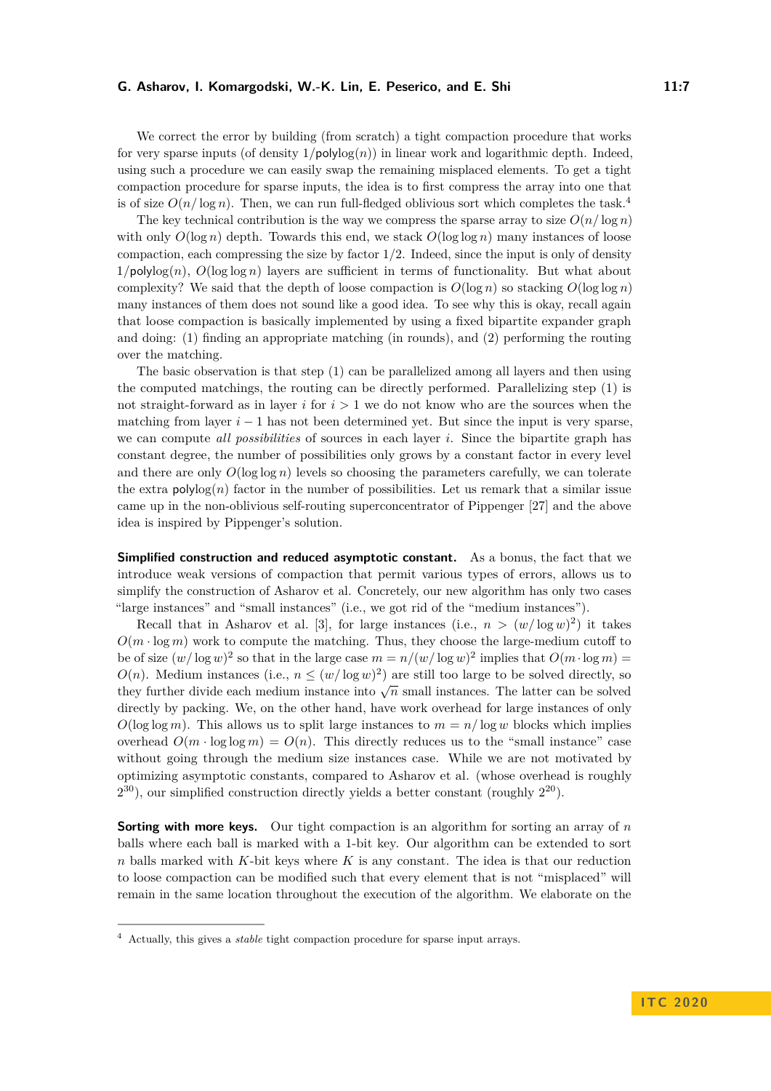We correct the error by building (from scratch) a tight compaction procedure that works for very sparse inputs (of density  $1/\text{polylog}(n)$ ) in linear work and logarithmic depth. Indeed, using such a procedure we can easily swap the remaining misplaced elements. To get a tight compaction procedure for sparse inputs, the idea is to first compress the array into one that is of size  $O(n/\log n)$ . Then, we can run full-fledged oblivious sort which completes the task.<sup>[4](#page-6-0)</sup>

The key technical contribution is the way we compress the sparse array to size  $O(n/\log n)$ with only  $O(\log n)$  depth. Towards this end, we stack  $O(\log \log n)$  many instances of loose compaction, each compressing the size by factor  $1/2$ . Indeed, since the input is only of density  $1/polylog(n)$ ,  $O(log log n)$  layers are sufficient in terms of functionality. But what about complexity? We said that the depth of loose compaction is  $O(\log n)$  so stacking  $O(\log \log n)$ many instances of them does not sound like a good idea. To see why this is okay, recall again that loose compaction is basically implemented by using a fixed bipartite expander graph and doing: (1) finding an appropriate matching (in rounds), and (2) performing the routing over the matching.

The basic observation is that step (1) can be parallelized among all layers and then using the computed matchings, the routing can be directly performed. Parallelizing step (1) is not straight-forward as in layer *i* for *i >* 1 we do not know who are the sources when the matching from layer  $i - 1$  has not been determined yet. But since the input is very sparse, we can compute *all possibilities* of sources in each layer *i*. Since the bipartite graph has constant degree, the number of possibilities only grows by a constant factor in every level and there are only  $O(\log \log n)$  levels so choosing the parameters carefully, we can tolerate the extra  $polylog(n)$  factor in the number of possibilities. Let us remark that a similar issue came up in the non-oblivious self-routing superconcentrator of Pippenger [\[27\]](#page-22-1) and the above idea is inspired by Pippenger's solution.

**Simplified construction and reduced asymptotic constant.** As a bonus, the fact that we introduce weak versions of compaction that permit various types of errors, allows us to simplify the construction of Asharov et al. Concretely, our new algorithm has only two cases "large instances" and "small instances" (i.e., we got rid of the "medium instances").

Recall that in Asharov et al. [\[3\]](#page-21-3), for large instances (i.e.,  $n > (w/\log w)^2$ ) it takes  $O(m \cdot \log m)$  work to compute the matching. Thus, they choose the large-medium cutoff to be of size  $(w/\log w)^2$  so that in the large case  $m = n/(w/\log w)^2$  implies that  $O(m \cdot \log m)$  $O(n)$ . Medium instances (i.e.,  $n \leq (w/\log w)^2$ ) are still too large to be solved directly, so they further divide each medium instance into  $\sqrt{n}$  small instances. The latter can be solved<br>they further divide each medium instance into  $\sqrt{n}$  small instances. The latter can be solved directly by packing. We, on the other hand, have work overhead for large instances of only  $O(\log \log m)$ . This allows us to split large instances to  $m = n/\log w$  blocks which implies overhead  $O(m \cdot \log \log m) = O(n)$ . This directly reduces us to the "small instance" case without going through the medium size instances case. While we are not motivated by optimizing asymptotic constants, compared to Asharov et al. (whose overhead is roughly  $2^{30}$ ), our simplified construction directly yields a better constant (roughly  $2^{20}$ ).

**Sorting with more keys.** Our tight compaction is an algorithm for sorting an array of *n* balls where each ball is marked with a 1-bit key. Our algorithm can be extended to sort *n* balls marked with *K*-bit keys where *K* is any constant. The idea is that our reduction to loose compaction can be modified such that every element that is not "misplaced" will remain in the same location throughout the execution of the algorithm. We elaborate on the

<span id="page-6-0"></span><sup>4</sup> Actually, this gives a *stable* tight compaction procedure for sparse input arrays.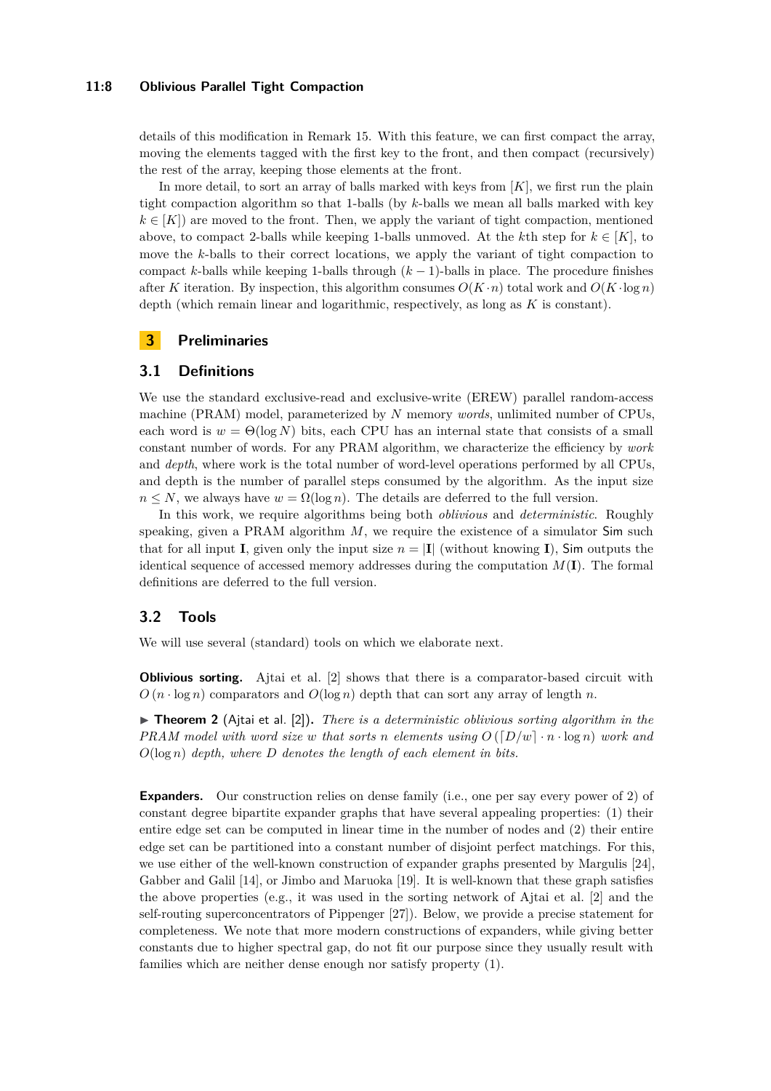### **11:8 Oblivious Parallel Tight Compaction**

details of this modification in Remark [15.](#page-11-0) With this feature, we can first compact the array, moving the elements tagged with the first key to the front, and then compact (recursively) the rest of the array, keeping those elements at the front.

In more detail, to sort an array of balls marked with keys from [*K*], we first run the plain tight compaction algorithm so that 1-balls (by *k*-balls we mean all balls marked with key  $k \in [K]$ ) are moved to the front. Then, we apply the variant of tight compaction, mentioned above, to compact 2-balls while keeping 1-balls unmoved. At the *k*th step for  $k \in [K]$ , to move the *k*-balls to their correct locations, we apply the variant of tight compaction to compact *k*-balls while keeping 1-balls through  $(k-1)$ -balls in place. The procedure finishes after *K* iteration. By inspection, this algorithm consumes  $O(K \cdot n)$  total work and  $O(K \cdot \log n)$ depth (which remain linear and logarithmic, respectively, as long as *K* is constant).

# **3 Preliminaries**

## **3.1 Definitions**

We use the standard exclusive-read and exclusive-write (EREW) parallel random-access machine (PRAM) model, parameterized by *N* memory *words*, unlimited number of CPUs, each word is  $w = \Theta(\log N)$  bits, each CPU has an internal state that consists of a small constant number of words. For any PRAM algorithm, we characterize the efficiency by *work* and *depth*, where work is the total number of word-level operations performed by all CPUs, and depth is the number of parallel steps consumed by the algorithm. As the input size  $n \leq N$ , we always have  $w = \Omega(\log n)$ . The details are deferred to the full version.

In this work, we require algorithms being both *oblivious* and *deterministic*. Roughly speaking, given a PRAM algorithm *M*, we require the existence of a simulator Sim such that for all input **I**, given only the input size  $n = |I|$  (without knowing **I**), Sim outputs the identical sequence of accessed memory addresses during the computation  $M(\mathbf{I})$ . The formal definitions are deferred to the full version.

# **3.2 Tools**

We will use several (standard) tools on which we elaborate next.

**Oblivious sorting.** Ajtai et al. [\[2\]](#page-21-6) shows that there is a comparator-based circuit with  $O(n \cdot \log n)$  comparators and  $O(\log n)$  depth that can sort any array of length *n*.

<span id="page-7-0"></span>▶ **Theorem 2** (Ajtai et al. [\[2\]](#page-21-6)). *There is a deterministic oblivious sorting algorithm in the PRAM model with word size w that sorts n elements using*  $O([D/w] \cdot n \cdot \log n)$  *work and O*(log *n*) *depth, where D denotes the length of each element in bits.*

**Expanders.** Our construction relies on dense family (i.e., one per say every power of 2) of constant degree bipartite expander graphs that have several appealing properties: (1) their entire edge set can be computed in linear time in the number of nodes and (2) their entire edge set can be partitioned into a constant number of disjoint perfect matchings. For this, we use either of the well-known construction of expander graphs presented by Margulis [\[24\]](#page-22-8), Gabber and Galil [\[14\]](#page-21-18), or Jimbo and Maruoka [\[19\]](#page-21-19). It is well-known that these graph satisfies the above properties (e.g., it was used in the sorting network of Ajtai et al. [\[2\]](#page-21-6) and the self-routing superconcentrators of Pippenger [\[27\]](#page-22-1)). Below, we provide a precise statement for completeness. We note that more modern constructions of expanders, while giving better constants due to higher spectral gap, do not fit our purpose since they usually result with families which are neither dense enough nor satisfy property (1).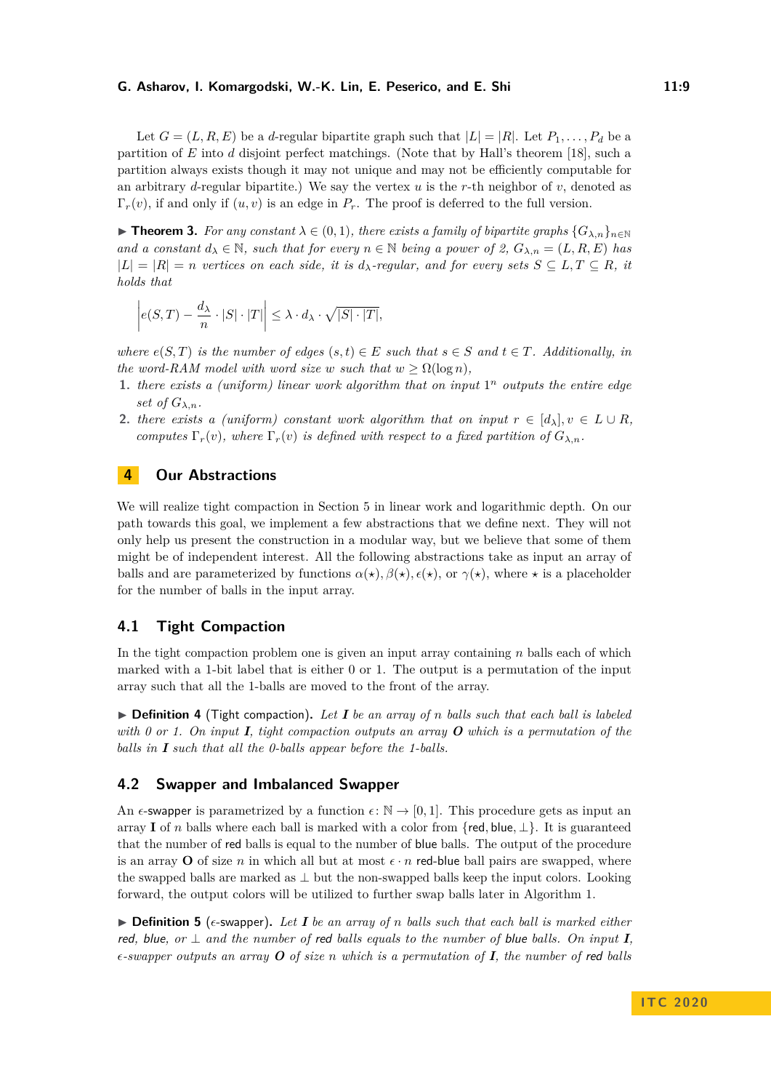Let  $G = (L, R, E)$  be a *d*-regular bipartite graph such that  $|L| = |R|$ . Let  $P_1, \ldots, P_d$  be a partition of *E* into *d* disjoint perfect matchings. (Note that by Hall's theorem [\[18\]](#page-21-20), such a partition always exists though it may not unique and may not be efficiently computable for an arbitrary *d*-regular bipartite.) We say the vertex *u* is the *r*-th neighbor of *v*, denoted as  $\Gamma_r(v)$ , if and only if  $(u, v)$  is an edge in  $P_r$ . The proof is deferred to the full version.

<span id="page-8-1"></span>**► Theorem 3.** For any constant  $\lambda \in (0,1)$ , there exists a family of bipartite graphs  $\{G_{\lambda,n}\}_{n\in\mathbb{N}}$ *and a constant*  $d_{\lambda} \in \mathbb{N}$ *, such that for every*  $n \in \mathbb{N}$  *being a power of 2,*  $G_{\lambda,n} = (L, R, E)$  *has*  $|L| = |R| = n$  vertices on each side, it is  $d_{\lambda}$ -regular, and for every sets  $S \subseteq L, T \subseteq R$ , it *holds that*

$$
\left| e(S,T) - \frac{d_{\lambda}}{n} \cdot |S| \cdot |T| \right| \leq \lambda \cdot d_{\lambda} \cdot \sqrt{|S| \cdot |T|},
$$

*where*  $e(S,T)$  *is the number of edges*  $(s,t) \in E$  *such that*  $s \in S$  *and*  $t \in T$ *. Additionally, in the word-RAM model with word size w such that*  $w \geq \Omega(\log n)$ *,* 

- 1. *there exists a (uniform) linear work algorithm that on input*  $1^n$  *outputs the entire edge set of*  $G_{\lambda,n}$ *.*
- <span id="page-8-2"></span>2. *there exists a (uniform) constant work algorithm that on input*  $r \in [d_\lambda], v \in L \cup R$ , *computes*  $\Gamma_r(v)$ *, where*  $\Gamma_r(v)$  *is defined with respect to a fixed partition of*  $G_{\lambda,n}$ *.*

# **4 Our Abstractions**

We will realize tight compaction in Section [5](#page-11-1) in linear work and logarithmic depth. On our path towards this goal, we implement a few abstractions that we define next. They will not only help us present the construction in a modular way, but we believe that some of them might be of independent interest. All the following abstractions take as input an array of balls and are parameterized by functions  $\alpha(\star)$ ,  $\beta(\star)$ ,  $\epsilon(\star)$ , or  $\gamma(\star)$ , where  $\star$  is a placeholder for the number of balls in the input array.

# **4.1 Tight Compaction**

In the tight compaction problem one is given an input array containing *n* balls each of which marked with a 1-bit label that is either 0 or 1. The output is a permutation of the input array such that all the 1-balls are moved to the front of the array.

 $\triangleright$  **Definition 4** (Tight compaction). Let **I** be an array of *n* balls such that each ball is labeled *with 0 or 1. On input I, tight compaction outputs an array O which is a permutation of the balls in I such that all the 0-balls appear before the 1-balls.*

## **4.2 Swapper and Imbalanced Swapper**

An  $\epsilon$ -swapper is parametrized by a function  $\epsilon: \mathbb{N} \to [0,1]$ . This procedure gets as input an array **I** of *n* balls where each ball is marked with a color from {red, blue,  $\perp$ }. It is guaranteed that the number of red balls is equal to the number of blue balls. The output of the procedure is an array **O** of size *n* in which all but at most  $\epsilon \cdot n$  red-blue ball pairs are swapped, where the swapped balls are marked as  $\perp$  but the non-swapped balls keep the input colors. Looking forward, the output colors will be utilized to further swap balls later in Algorithm [1.](#page-12-0)

<span id="page-8-0"></span> $\triangleright$  **Definition 5** (e-swapper). Let **I** be an array of *n* balls such that each ball is marked either red, blue, or  $\perp$  and the number of red balls equals to the number of blue balls. On input **I**,  $\epsilon$ -swapper outputs an array **O** of size *n* which is a permutation of **I**, the number of red balls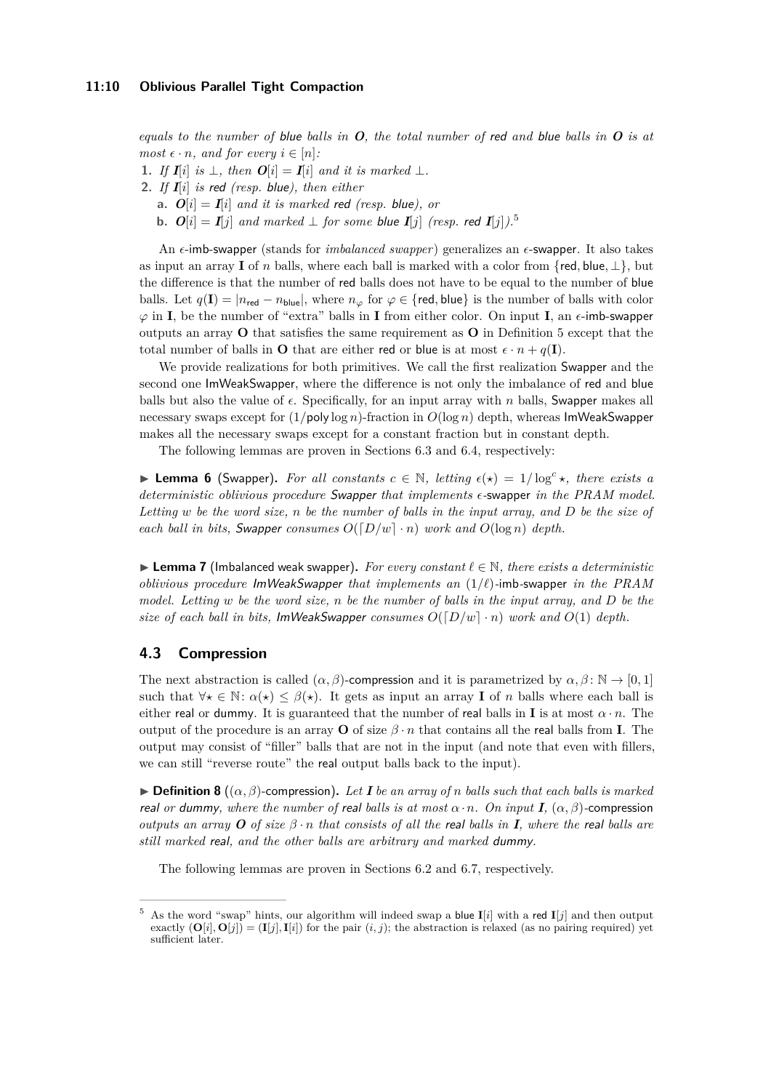*equals to the number of* blue *balls in O, the total number of* red *and* blue *balls in O is at most*  $\epsilon \cdot n$ *, and for every*  $i \in [n]$ *:* 

- **1.** *If*  $I[i]$  *is* ⊥, *then*  $O[i] = I[i]$  *and it is marked* ⊥.
- **2.** *If I*[*i*] *is* red *(resp.* blue*), then either*
	- **a.**  $O[i] = I[i]$  *and it is marked red (resp. blue), or*
	- **b.**  $O[i] = I[i]$  and marked ⊥ for some blue  $I[i]$  (resp. red  $I[i]$ ).<sup>[5](#page-9-0)</sup>

An  $\epsilon$ -imb-swapper (stands for *imbalanced swapper*) generalizes an  $\epsilon$ -swapper. It also takes as input an array **I** of *n* balls, where each ball is marked with a color from {red, blue,  $\perp$ }, but the difference is that the number of red balls does not have to be equal to the number of blue balls. Let  $q(\mathbf{I}) = |n_{\text{red}} - n_{\text{blue}}|$ , where  $n_{\varphi}$  for  $\varphi \in \{\text{red}, \text{blue}\}$  is the number of balls with color  $\varphi$  in **I**, be the number of "extra" balls in **I** from either color. On input **I**, an  $\epsilon$ -imb-swapper outputs an array **O** that satisfies the same requirement as **O** in Definition [5](#page-8-0) except that the total number of balls in **O** that are either red or blue is at most  $\epsilon \cdot n + q(\mathbf{I})$ .

We provide realizations for both primitives. We call the first realization Swapper and the second one ImWeakSwapper, where the difference is not only the imbalance of red and blue balls but also the value of  $\epsilon$ . Specifically, for an input array with *n* balls, Swapper makes all necessary swaps except for (1*/*poly log *n*)-fraction in *O*(log *n*) depth, whereas ImWeakSwapper makes all the necessary swaps except for a constant fraction but in constant depth.

The following lemmas are proven in Sections [6.3](#page-15-0) and [6.4,](#page-17-0) respectively:

<span id="page-9-1"></span>**Example 1** Lemma 6 (Swapper). For all constants  $c \in \mathbb{N}$ , letting  $\epsilon(x) = 1/\log^c x$ , there exists a *deterministic oblivious procedure* Swapper *that implements -*swapper *in the PRAM model. Letting w be the word size, n be the number of balls in the input array, and D be the size of each ball in bits, Swapper consumes*  $O([D/w] \cdot n)$  *work and*  $O(\log n)$  *depth.* 

<span id="page-9-2"></span> $\triangleright$  **Lemma 7** (Imbalanced weak swapper). For every constant  $\ell \in \mathbb{N}$ , there exists a deterministic *oblivious procedure* ImWeakSwapper *that implements an*  $(1/\ell)$ -imb-swapper *in the PRAM model. Letting w be the word size, n be the number of balls in the input array, and D be the size of each ball in bits,* ImWeakSwapper *consumes*  $O([D/w] \cdot n)$  *work and*  $O(1)$  *depth.* 

## **4.3 Compression**

The next abstraction is called  $(\alpha, \beta)$ -compression and it is parametrized by  $\alpha, \beta \colon \mathbb{N} \to [0, 1]$ such that  $\forall x \in \mathbb{N}$ :  $\alpha(x) \leq \beta(x)$ . It gets as input an array **I** of *n* balls where each ball is either real or dummy. It is guaranteed that the number of real balls in **I** is at most  $\alpha \cdot n$ . The output of the procedure is an array **O** of size  $\beta \cdot n$  that contains all the real balls from **I**. The output may consist of "filler" balls that are not in the input (and note that even with fillers, we can still "reverse route" the real output balls back to the input).

 $\triangleright$  **Definition 8** (( $\alpha$ ,  $\beta$ )-compression). Let **I** be an array of *n* balls such that each balls is marked *real or dummy, where the number of real balls is at most*  $\alpha \cdot n$ *. On input I*,  $(\alpha, \beta)$ -compression *outputs an array*  $O$  *of size*  $\beta \cdot n$  *that consists of all the real balls in*  $I$ *, where the real balls are still marked* real*, and the other balls are arbitrary and marked* dummy*.*

<span id="page-9-3"></span>The following lemmas are proven in Sections [6.2](#page-14-0) and [6.7,](#page-20-0) respectively.

<span id="page-9-0"></span>As the word "swap" hints, our algorithm will indeed swap a blue  $I[i]$  with a red  $I[j]$  and then output exactly  $(O[i], O[j]) = (I[j], I[i])$  for the pair  $(i, j)$ ; the abstraction is relaxed (as no pairing required) yet sufficient later.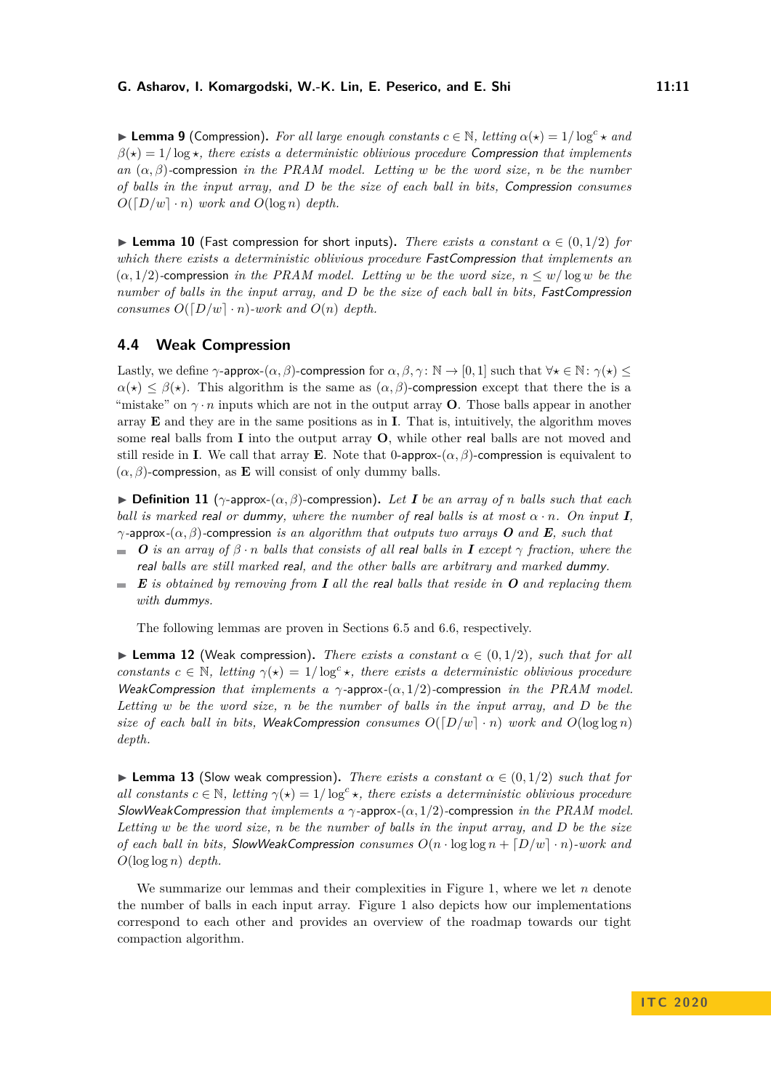**Example 1** (Compression). For all large enough constants  $c \in \mathbb{N}$ , letting  $\alpha(\star) = 1/\log^c \star$  and  $\beta(\star) = 1/\log \star$ , there exists a deterministic oblivious procedure Compression that implements *an* (*α, β*)*-*compression *in the PRAM model. Letting w be the word size, n be the number of balls in the input array, and D be the size of each ball in bits,* Compression *consumes*  $O([D/w] \cdot n)$  *work and*  $O(\log n)$  *depth.* 

<span id="page-10-0"></span>**Example 10** (Fast compression for short inputs). *There exists a constant*  $\alpha \in (0,1/2)$  *for which there exists a deterministic oblivious procedure* FastCompression *that implements an*  $(\alpha, 1/2)$ -compression *in the PRAM model. Letting w be the word size,*  $n \leq w/\log w$  *be the number of balls in the input array, and D be the size of each ball in bits,* FastCompression *consumes*  $O([D/w] \cdot n)$ *-work and*  $O(n)$  *depth.* 

## **4.4 Weak Compression**

Lastly, we define  $\gamma$ -approx- $(\alpha, \beta)$ -compression for  $\alpha, \beta, \gamma \colon \mathbb{N} \to [0, 1]$  such that  $\forall \star \in \mathbb{N} \colon \gamma(\star) \leq$  $\alpha(\star) \leq \beta(\star)$ . This algorithm is the same as  $(\alpha, \beta)$ -compression except that there the is a "mistake" on  $\gamma \cdot n$  inputs which are not in the output array **O**. Those balls appear in another array **E** and they are in the same positions as in **I**. That is, intuitively, the algorithm moves some real balls from **I** into the output array **O**, while other real balls are not moved and still reside in **I**. We call that array **E**. Note that 0-approx- $(\alpha, \beta)$ -compression is equivalent to  $(\alpha, \beta)$ -compression, as **E** will consist of only dummy balls.

 $\triangleright$  **Definition 11** ( $\gamma$ -approx- $(\alpha, \beta)$ -compression). Let **I** be an array of *n* balls such that each *ball is marked real or dummy, where the number of real balls is at most*  $\alpha \cdot n$ *. On input I*, *γ-*approx*-*(*α, β*)*-*compression *is an algorithm that outputs two arrays O and E, such that*

- $\bullet$  *O* is an array of  $\beta \cdot n$  balls that consists of all real balls in **I** except  $\gamma$  fraction, where the real *balls are still marked* real*, and the other balls are arbitrary and marked* dummy*.*
- *E is obtained by removing from I all the* real *balls that reside in O and replacing them* m. *with* dummy*s.*

The following lemmas are proven in Sections [6.5](#page-18-0) and [6.6,](#page-19-0) respectively.

<span id="page-10-1"></span>**I Lemma 12** (Weak compression). *There exists a constant*  $\alpha \in (0,1/2)$ *, such that for all constants*  $c \in \mathbb{N}$ *, letting*  $\gamma(*) = 1/\log^c *$ *, there exists a deterministic oblivious procedure* WeakCompression *that implements a γ-*approx*-*(*α,* 1*/*2)*-*compression *in the PRAM model. Letting w be the word size, n be the number of balls in the input array, and D be the size of each ball in bits,* WeakCompression *consumes*  $O([D/w] \cdot n)$  *work and*  $O(\log \log n)$ *depth.*

<span id="page-10-2"></span>**I Lemma 13** (Slow weak compression). There exists a constant  $\alpha \in (0, 1/2)$  such that for *all constants*  $c \in \mathbb{N}$ , letting  $\gamma(*) = 1/\log^c *$ , there exists a deterministic oblivious procedure SlowWeakCompression *that implements a γ-*approx*-*(*α,* 1*/*2)*-*compression *in the PRAM model. Letting w be the word size, n be the number of balls in the input array, and D be the size of each ball in bits, SlowWeakCompression consumes*  $O(n \cdot \log \log n + [D/w] \cdot n)$ *-work and O*(log log *n*) *depth.*

We summarize our lemmas and their complexities in Figure [1,](#page-11-2) where we let *n* denote the number of balls in each input array. Figure [1](#page-11-2) also depicts how our implementations correspond to each other and provides an overview of the roadmap towards our tight compaction algorithm.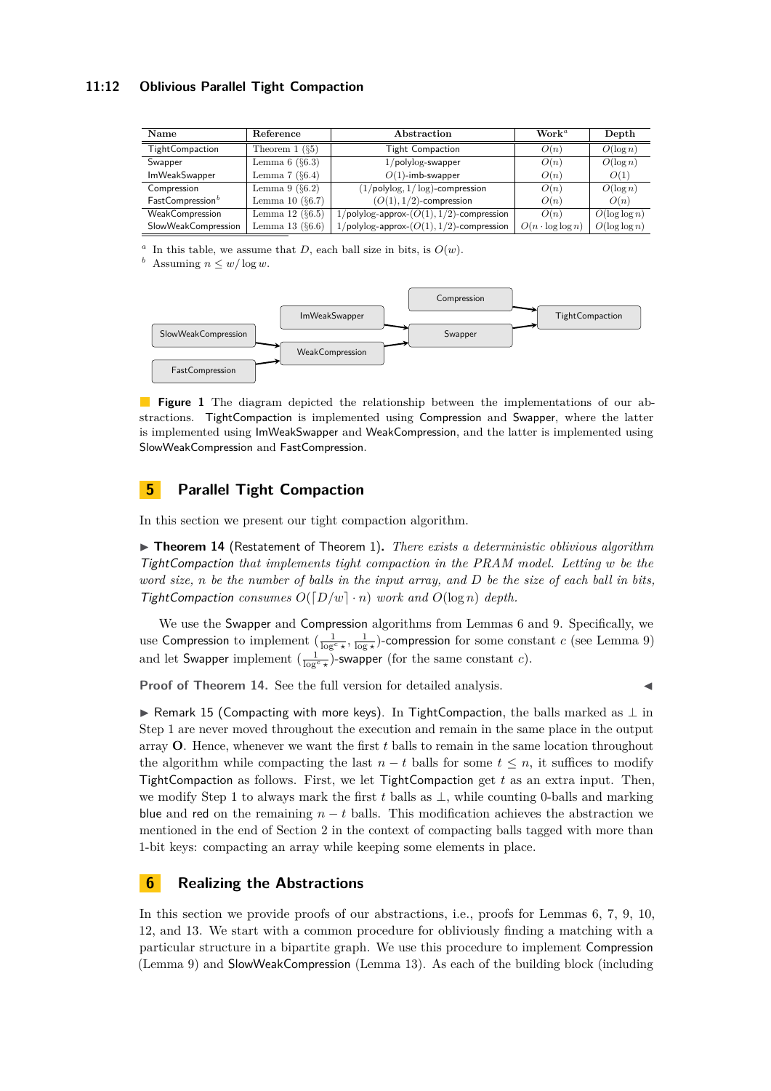## **11:12 Oblivious Parallel Tight Compaction**

<span id="page-11-2"></span>

| Name                         | Reference             | Abstraction                                        | $\mathbf{Work}^{\mathit{a}}$ | Depth            |
|------------------------------|-----------------------|----------------------------------------------------|------------------------------|------------------|
| TightCompaction              | Theorem $1$ ( $\S5$ ) | <b>Tight Compaction</b>                            | O(n)                         | $O(\log n)$      |
| Swapper                      | Lemma $6$ ( $\S6.3$ ) | $1/polylog-swapper$                                | O(n)                         | $O(\log n)$      |
| <b>ImWeakSwapper</b>         | Lemma $7(§6.4)$       | $O(1)$ -imb-swapper                                | O(n)                         | O(1)             |
| Compression                  | Lemma $9(6.2)$        | $(1/\text{polylog}, 1/\log)$ -compression          | O(n)                         | $O(\log n)$      |
| FastCompression <sup>b</sup> | Lemma 10 $(§6.7)$     | $(O(1), 1/2)$ -compression                         | O(n)                         | O(n)             |
| WeakCompression              | Lemma 12 $(\S6.5)$    | $1/\text{polylog-approx-}(O(1), 1/2)$ -compression | O(n)                         | $O(\log \log n)$ |
| SlowWeakCompression          | Lemma 13 $(§6.6)$     | $1/\text{polylog-approx-}(O(1), 1/2)$ -compression | $O(n \cdot \log \log n)$     | $O(\log \log n)$ |

<span id="page-11-3"></span>*a* In this table, we assume that *D*, each ball size in bits, is  $O(w)$ .

<span id="page-11-4"></span>*b* Assuming  $n \leq w/\log w$ .



**Figure 1** The diagram depicted the relationship between the implementations of our abstractions. TightCompaction is implemented using Compression and Swapper, where the latter is implemented using ImWeakSwapper and WeakCompression, and the latter is implemented using SlowWeakCompression and FastCompression.

# <span id="page-11-1"></span>**5 Parallel Tight Compaction**

<span id="page-11-5"></span>In this section we present our tight compaction algorithm.

▶ **Theorem 14** (Restatement of Theorem [1\)](#page-2-2). *There exists a deterministic oblivious algorithm* TightCompaction *that implements tight compaction in the PRAM model. Letting w be the word size, n be the number of balls in the input array, and D be the size of each ball in bits,* TightCompaction consumes  $O([D/w] \cdot n)$  work and  $O(\log n)$  depth.

We use the Swapper and Compression algorithms from Lemmas [6](#page-9-1) and [9.](#page-9-3) Specifically, we use Compression to implement  $(\frac{1}{\log^c x}, \frac{1}{\log^c x})$ -compression for some constant *c* (see Lemma [9\)](#page-9-3) and let Swapper implement  $\left(\frac{1}{\log^c x}\right)$ -swapper (for the same constant *c*).

**Proof of Theorem [14.](#page-11-5)** See the full version for detailed analysis.

<span id="page-11-0"></span> $\triangleright$  Remark 15 (Compacting with more keys). In TightCompaction, the balls marked as  $\perp$  in Step [1](#page-12-1) are never moved throughout the execution and remain in the same place in the output array **O**. Hence, whenever we want the first *t* balls to remain in the same location throughout the algorithm while compacting the last  $n - t$  balls for some  $t \leq n$ , it suffices to modify TightCompaction as follows. First, we let TightCompaction get *t* as an extra input. Then, we modify Step [1](#page-12-1) to always mark the first *t* balls as ⊥, while counting 0-balls and marking blue and red on the remaining  $n - t$  balls. This modification achieves the abstraction we mentioned in the end of Section [2](#page-3-0) in the context of compacting balls tagged with more than 1-bit keys: compacting an array while keeping some elements in place.

# **6 Realizing the Abstractions**

In this section we provide proofs of our abstractions, i.e., proofs for Lemmas [6,](#page-9-1) [7,](#page-9-2) [9,](#page-9-3) [10,](#page-10-0) [12,](#page-10-1) and [13.](#page-10-2) We start with a common procedure for obliviously finding a matching with a particular structure in a bipartite graph. We use this procedure to implement Compression (Lemma [9\)](#page-9-3) and SlowWeakCompression (Lemma [13\)](#page-10-2). As each of the building block (including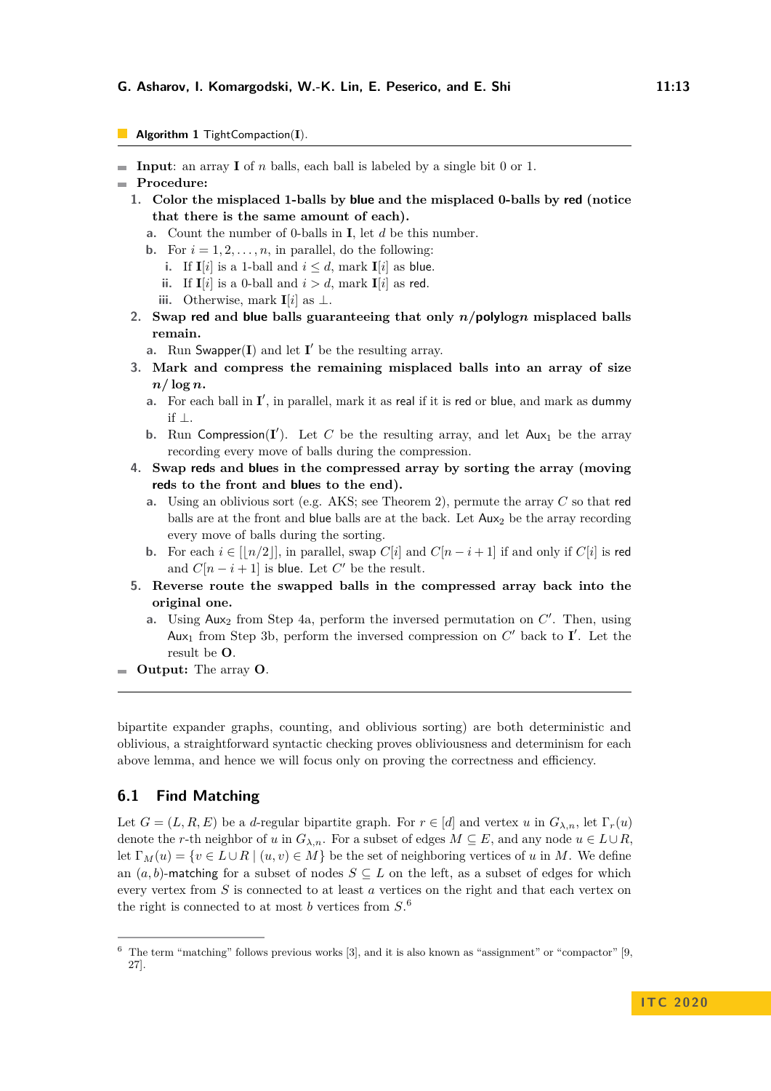- <span id="page-12-0"></span>**Algorithm 1** TightCompaction(I).
- **Input**: an array **I** of *n* balls, each ball is labeled by a single bit 0 or 1.
- <span id="page-12-1"></span>**Procedure:**
	- **1. Color the misplaced 1-balls by blue and the misplaced 0-balls by red (notice that there is the same amount of each).**
		- **a.** Count the number of 0-balls in **I**, let *d* be this number.
		- **b.** For  $i = 1, 2, \ldots, n$ , in parallel, do the following:
		- **i.** If  $I[i]$  is a 1-ball and  $i \leq d$ , mark  $I[i]$  as blue.
			- **ii.** If  $I[i]$  is a 0-ball and  $i > d$ , mark  $I[i]$  as red.
		- **iii.** Otherwise, mark **I**[ $i$ ] as ⊥.
	- **2. Swap red and blue balls guaranteeing that only** *n/***polylog***n* **misplaced balls remain.**
		- **a.** Run Swapper $(I)$  and let  $I'$  be the resulting array.
	- **3. Mark and compress the remaining misplaced balls into an array of size**  $n/\log n$ .
		- **a.** For each ball in  $I'$ , in parallel, mark it as real if it is red or blue, and mark as dummy if ⊥.
		- **b.** Run Compression( $I'$ ). Let C be the resulting array, and let  $Aux_1$  be the array recording every move of balls during the compression.
	- **4. Swap reds and blues in the compressed array by sorting the array (moving reds to the front and blues to the end).**
		- **a.** Using an oblivious sort (e.g. AKS; see Theorem [2\)](#page-7-0), permute the array *C* so that red balls are at the front and blue balls are at the back. Let  $Aux<sub>2</sub>$  be the array recording every move of balls during the sorting.
		- **b.** For each  $i \in [\lfloor n/2 \rfloor]$ , in parallel, swap  $C[i]$  and  $C[n-i+1]$  if and only if  $C[i]$  is red and  $C[n-i+1]$  is blue. Let  $C'$  be the result.
	- **5. Reverse route the swapped balls in the compressed array back into the original one.**
		- **a.** Using Aux<sub>2</sub> from Step [4a,](#page-12-2) perform the inversed permutation on *C'*. Then, using Aux<sub>1</sub> from Step [3b,](#page-12-3) perform the inversed compression on  $C'$  back to  $\mathbf{I}'$ . Let the result be **O**.
- <span id="page-12-6"></span><span id="page-12-3"></span><span id="page-12-2"></span>**Output:** The array **O**.

bipartite expander graphs, counting, and oblivious sorting) are both deterministic and oblivious, a straightforward syntactic checking proves obliviousness and determinism for each above lemma, and hence we will focus only on proving the correctness and efficiency.

# **6.1 Find Matching**

Let  $G = (L, R, E)$  be a *d*-regular bipartite graph. For  $r \in [d]$  and vertex *u* in  $G_{\lambda,n}$ , let  $\Gamma_r(u)$ denote the *r*-th neighbor of *u* in  $G_{\lambda,n}$ . For a subset of edges  $M \subseteq E$ , and any node  $u \in L \cup R$ . let  $\Gamma_M(u) = \{v \in L \cup R \mid (u, v) \in M\}$  be the set of neighboring vertices of *u* in *M*. We define an  $(a, b)$ -matching for a subset of nodes  $S \subseteq L$  on the left, as a subset of edges for which every vertex from *S* is connected to at least *a* vertices on the right and that each vertex on the right is connected to at most *b* vertices from *S*. [6](#page-12-4)

<span id="page-12-5"></span><span id="page-12-4"></span> $6$  The term "matching" follows previous works [\[3\]](#page-21-3), and it is also known as "assignment" or "compactor" [\[9,](#page-21-17) [27\]](#page-22-1).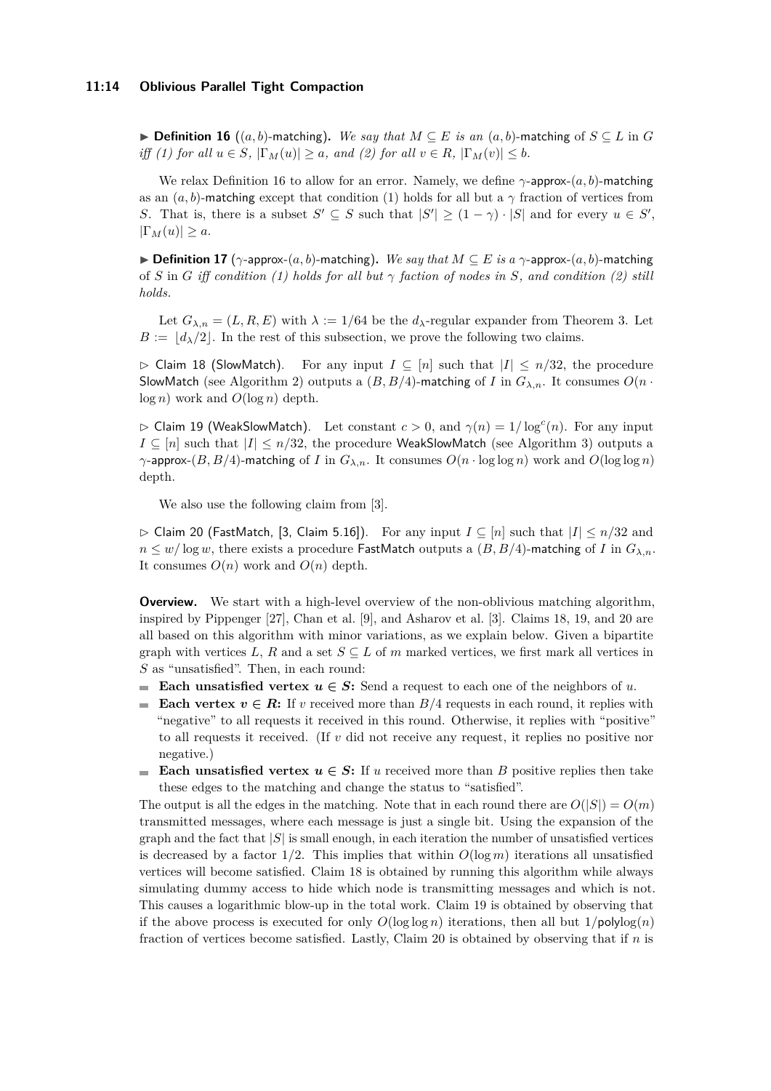#### **11:14 Oblivious Parallel Tight Compaction**

**► Definition 16** ((*a, b*)-matching). We say that  $M \subseteq E$  is an  $(a, b)$ -matching of  $S \subseteq L$  in *G iff (1) for all*  $u \in S$ ,  $|\Gamma_M(u)| \ge a$ *, and (2) for all*  $v \in R$ ,  $|\Gamma_M(v)| \le b$ *.* 

We relax Definition [16](#page-12-5) to allow for an error. Namely, we define *γ*-approx-(*a, b*)-matching as an  $(a, b)$ -matching except that condition (1) holds for all but a  $\gamma$  fraction of vertices from *S*. That is, there is a subset  $S' \subseteq S$  such that  $|S'| \geq (1 - \gamma) \cdot |S|$  and for every  $u \in S'$ ,  $|\Gamma_M(u)| \geq a$ .

**► Definition 17** ( $\gamma$ -approx- $(a, b)$ -matching). We say that  $M \subseteq E$  is a  $\gamma$ -approx- $(a, b)$ -matching of *S* in *G iff condition (1) holds for all but γ faction of nodes in S, and condition (2) still holds.*

Let  $G_{\lambda,n} = (L, R, E)$  with  $\lambda := 1/64$  be the  $d_{\lambda}$ -regular expander from Theorem [3.](#page-8-1) Let  $B := |d_{\lambda}/2|$ . In the rest of this subsection, we prove the following two claims.

<span id="page-13-0"></span> $\triangleright$  Claim 18 (SlowMatch). For any input *I* ⊆ [*n*] such that  $|I|$  ≤ *n*/32, the procedure SlowMatch (see Algorithm [2\)](#page-14-1) outputs a  $(B, B/4)$ -matching of *I* in  $G_{\lambda,n}$ . It consumes  $O(n \cdot n)$ log *n*) work and *O*(log *n*) depth.

<span id="page-13-1"></span> $\triangleright$  Claim 19 (WeakSlowMatch). Let constant  $c > 0$ , and  $\gamma(n) = 1/\log^c(n)$ . For any input *I* ⊆ [*n*] such that  $|I|$  ≤ *n*/32, the procedure WeakSlowMatch (see Algorithm [3\)](#page-14-2) outputs a *γ*-approx-(*B, B/*4)-matching of *I* in  $G_{\lambda,n}$ . It consumes  $O(n \cdot \log \log n)$  work and  $O(\log \log n)$ depth.

We also use the following claim from [\[3\]](#page-21-3).

<span id="page-13-2"></span>B Claim 20 (FastMatch, [\[3,](#page-21-3) Claim 5.16]). For any input *I* ⊆ [*n*] such that |*I*| ≤ *n/*32 and  $n \leq w/\log w$ , there exists a procedure FastMatch outputs a  $(B, B/4)$ -matching of *I* in  $G_{\lambda,n}$ . It consumes  $O(n)$  work and  $O(n)$  depth.

**Overview.** We start with a high-level overview of the non-oblivious matching algorithm, inspired by Pippenger [\[27\]](#page-22-1), Chan et al. [\[9\]](#page-21-17), and Asharov et al. [\[3\]](#page-21-3). Claims [18,](#page-13-0) [19,](#page-13-1) and [20](#page-13-2) are all based on this algorithm with minor variations, as we explain below. Given a bipartite graph with vertices *L*, *R* and a set  $S \subseteq L$  of *m* marked vertices, we first mark all vertices in *S* as "unsatisfied". Then, in each round:

- **Each unsatisfied vertex**  $u \in S$ **:** Send a request to each one of the neighbors of *u*.
- **Each vertex**  $v \in \mathbb{R}$ : If *v* received more than  $B/4$  requests in each round, it replies with "negative" to all requests it received in this round. Otherwise, it replies with "positive" to all requests it received. (If *v* did not receive any request, it replies no positive nor negative.)
- **Each unsatisfied vertex**  $u \in S$ : If *u* received more than *B* positive replies then take m. these edges to the matching and change the status to "satisfied".

The output is all the edges in the matching. Note that in each round there are  $O(|S|) = O(m)$ transmitted messages, where each message is just a single bit. Using the expansion of the graph and the fact that  $|S|$  is small enough, in each iteration the number of unsatisfied vertices is decreased by a factor  $1/2$ . This implies that within  $O(\log m)$  iterations all unsatisfied vertices will become satisfied. Claim [18](#page-13-0) is obtained by running this algorithm while always simulating dummy access to hide which node is transmitting messages and which is not. This causes a logarithmic blow-up in the total work. Claim [19](#page-13-1) is obtained by observing that if the above process is executed for only  $O(\log \log n)$  iterations, then all but  $1/\text{polylog}(n)$ fraction of vertices become satisfied. Lastly, Claim [20](#page-13-2) is obtained by observing that if *n* is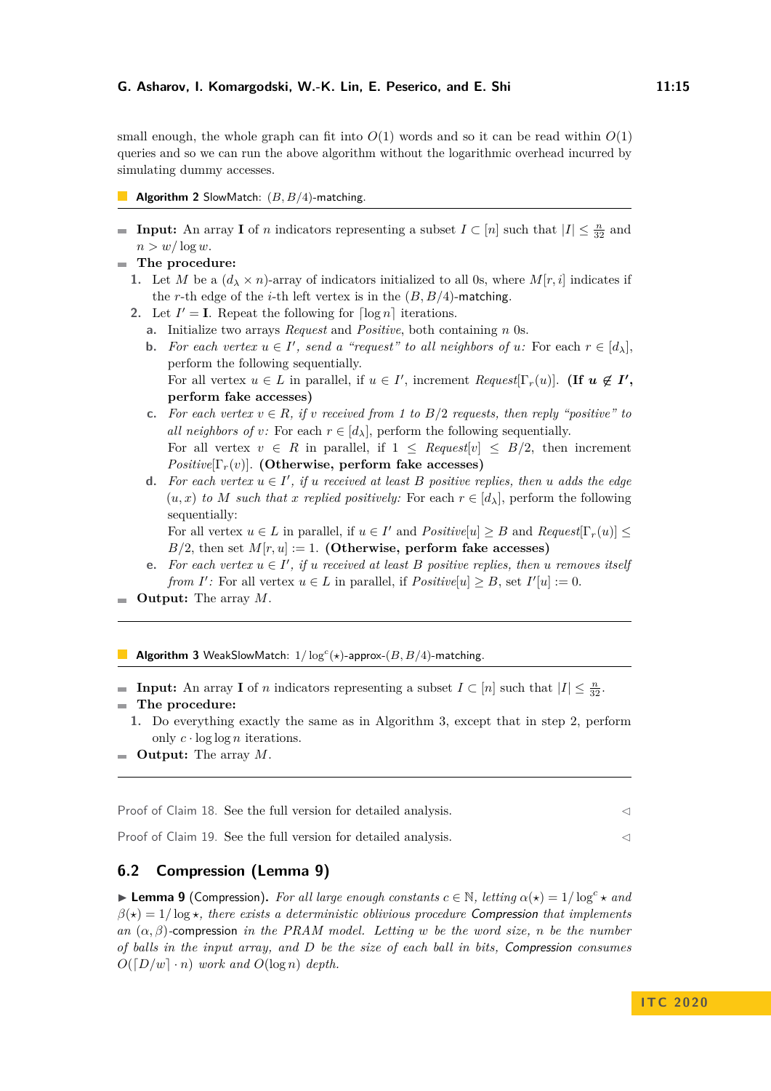small enough, the whole graph can fit into  $O(1)$  words and so it can be read within  $O(1)$ queries and so we can run the above algorithm without the logarithmic overhead incurred by simulating dummy accesses.

## <span id="page-14-1"></span>**Algorithm 2** SlowMatch: (*B, B/*4)-matching.

- **Input:** An array **I** of *n* indicators representing a subset  $I \subset [n]$  such that  $|I| \leq \frac{n}{32}$  and  $n > w/\log w$ .
- <span id="page-14-3"></span>**The procedure:**
	- **1.** Let *M* be a  $(d_1 \times n)$ -array of indicators initialized to all 0s, where  $M[r, i]$  indicates if the *r*-th edge of the *i*-th left vertex is in the (*B, B/*4)-matching.
	- **2.** Let  $I' = I$ . Repeat the following for  $\lceil \log n \rceil$  iterations.
		- **a.** Initialize two arrays *Request* and *Positive*, both containing *n* 0s.
		- **b.** For each vertex  $u \in I'$ , send a "request" to all neighbors of  $u$ : For each  $r \in [d_{\lambda}]$ , perform the following sequentially. For all vertex  $u \in L$  in parallel, if  $u \in I'$ , increment *Request*[ $\Gamma_r(u)$ ]. (If  $u \notin I'$ , **perform fake accesses)**
		- **c.** For each vertex  $v \in R$ , if *v* received from 1 to  $B/2$  requests, then reply "positive" to *all neighbors of v:* For each  $r \in [d_{\lambda}]$ , perform the following sequentially. For all vertex  $v \in R$  in parallel, if  $1 \leq \text{Request}[v] \leq \text{B}/2$ , then increment *Positive*[ $\Gamma_r(v)$ ]. **(Otherwise, perform fake accesses)**
		- **d.** For each vertex  $u \in I'$ , if *u* received at least *B* positive replies, then *u* adds the edge  $(u, x)$  *to M* such that *x* replied positively: For each  $r \in [d_\lambda]$ , perform the following sequentially:

For all vertex  $u \in L$  in parallel, if  $u \in I'$  and  $Positive[u] \geq B$  and  $Request[\Gamma_r(u)] \leq$ *B/*2, then set  $M[r, u] := 1$ . **(Otherwise, perform fake accesses)** 

- **e.** For each vertex  $u \in I'$ , if *u* received at least *B* positive replies, then *u* removes itself *from I*': For all vertex  $u \in L$  in parallel, if  $Positive[u] \geq B$ , set  $I'[u] := 0$ .
- $\blacksquare$  **Output:** The array *M*.

<span id="page-14-2"></span>**Algorithm 3** WeakSlowMatch: 1*/* log*<sup>c</sup>* (*?*)-approx-(*B, B/*4)-matching.

- **Input:** An array **I** of *n* indicators representing a subset  $I \subset [n]$  such that  $|I| \leq \frac{n}{32}$ . **The procedure:**
	- **1.** Do everything exactly the same as in Algorithm [3,](#page-14-2) except that in step [2,](#page-14-3) perform only  $c \cdot \log \log n$  iterations.
- **Output:** The array *M*.

Proof of Claim [18.](#page-13-0) See the full version for detailed analysis.  $\lhd$ 

Proof of Claim [19.](#page-13-1) See the full version for detailed analysis.  $\lhd$ 

# <span id="page-14-0"></span>**6.2 Compression (Lemma [9\)](#page-9-3)**

**Example 1** (Compression). For all large enough constants  $c \in \mathbb{N}$ , letting  $\alpha(\star) = 1/\log^c \star$  and  $\beta(\star) = 1/\log \star$ , there exists a deterministic oblivious procedure Compression that implements *an* (*α, β*)*-*compression *in the PRAM model. Letting w be the word size, n be the number of balls in the input array, and D be the size of each ball in bits,* Compression *consumes*  $O([D/w] \cdot n)$  *work and*  $O(\log n)$  *depth.*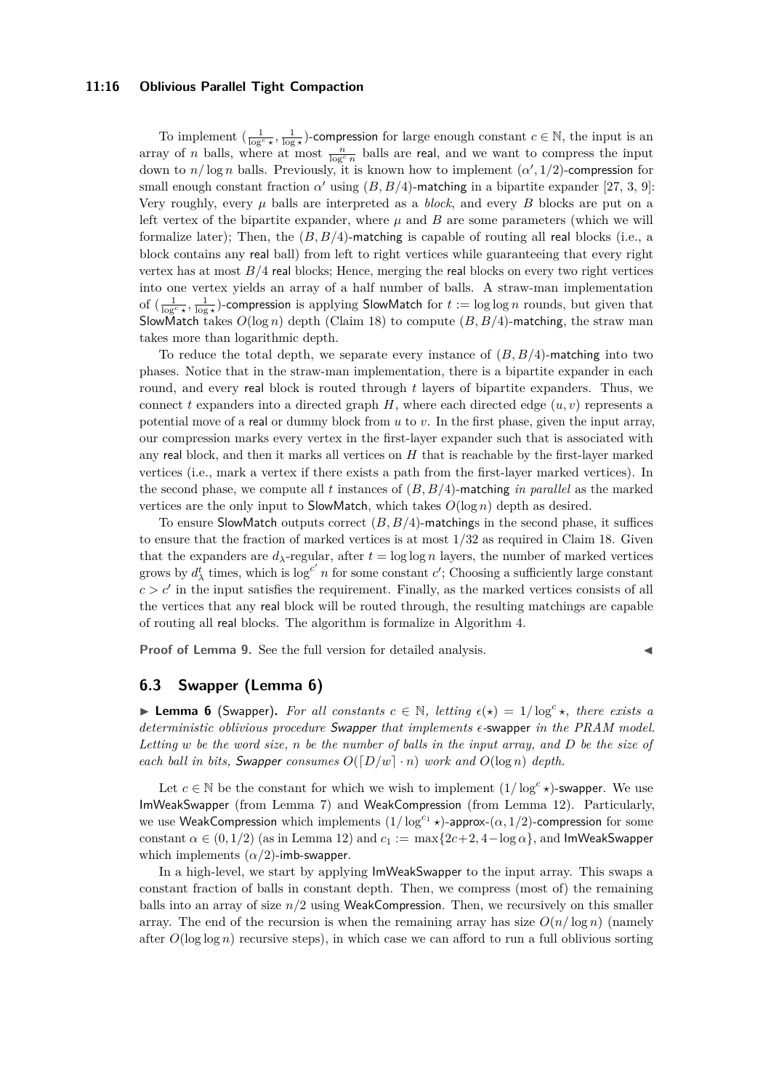## **11:16 Oblivious Parallel Tight Compaction**

To implement  $\left(\frac{1}{\log^c x}, \frac{1}{\log x}\right)$ -compression for large enough constant  $c \in \mathbb{N}$ , the input is an array of *n* balls, where at most  $\frac{n}{\log^c n}$  balls are real, and we want to compress the input down to  $n/\log n$  balls. Previously, it is known how to implement  $(\alpha', 1/2)$ -compression for small enough constant fraction  $\alpha'$  using  $(B, B/4)$ -matching in a bipartite expander [\[27,](#page-22-1) [3,](#page-21-3) [9\]](#page-21-17): Very roughly, every  $\mu$  balls are interpreted as a *block*, and every *B* blocks are put on a left vertex of the bipartite expander, where  $\mu$  and  $B$  are some parameters (which we will formalize later); Then, the (*B, B/*4)-matching is capable of routing all real blocks (i.e., a block contains any real ball) from left to right vertices while guaranteeing that every right vertex has at most  $B/4$  real blocks; Hence, merging the real blocks on every two right vertices into one vertex yields an array of a half number of balls. A straw-man implementation of  $(\frac{1}{\log^c x}, \frac{1}{\log x})$ -compression is applying SlowMatch for  $t := \log \log n$  rounds, but given that SlowMatch takes *O*(log *n*) depth (Claim [18\)](#page-13-0) to compute (*B, B/*4)-matching, the straw man takes more than logarithmic depth.

To reduce the total depth, we separate every instance of (*B, B/*4)-matching into two phases. Notice that in the straw-man implementation, there is a bipartite expander in each round, and every real block is routed through *t* layers of bipartite expanders. Thus, we connect t expanders into a directed graph  $H$ , where each directed edge  $(u, v)$  represents a potential move of a real or dummy block from *u* to *v*. In the first phase, given the input array, our compression marks every vertex in the first-layer expander such that is associated with any real block, and then it marks all vertices on *H* that is reachable by the first-layer marked vertices (i.e., mark a vertex if there exists a path from the first-layer marked vertices). In the second phase, we compute all *t* instances of (*B, B/*4)-matching *in parallel* as the marked vertices are the only input to SlowMatch, which takes  $O(\log n)$  depth as desired.

To ensure SlowMatch outputs correct (*B, B/*4)-matchings in the second phase, it suffices to ensure that the fraction of marked vertices is at most 1*/*32 as required in Claim [18.](#page-13-0) Given that the expanders are  $d_{\lambda}$ -regular, after  $t = \log \log n$  layers, the number of marked vertices grows by  $d_{\lambda}^{t}$  times, which is  $\log^{c'} n$  for some constant *c*'; Choosing a sufficiently large constant  $c > c'$  in the input satisfies the requirement. Finally, as the marked vertices consists of all the vertices that any real block will be routed through, the resulting matchings are capable of routing all real blocks. The algorithm is formalize in Algorithm [4.](#page-16-0)

**Proof of Lemma [9.](#page-9-3)** See the full version for detailed analysis.

# <span id="page-15-0"></span>**6.3 Swapper (Lemma [6\)](#page-9-1)**

**Example 1** Lemma 6 (Swapper). For all constants  $c \in \mathbb{N}$ , letting  $\epsilon(x) = 1/\log^c x$ , there exists a *deterministic oblivious procedure* Swapper *that implements -*swapper *in the PRAM model. Letting w be the word size, n be the number of balls in the input array, and D be the size of each ball in bits, Swapper consumes*  $O([D/w] \cdot n)$  *work and*  $O(\log n)$  *depth.* 

Let  $c \in \mathbb{N}$  be the constant for which we wish to implement  $(1/\log^c x)$ -swapper. We use ImWeakSwapper (from Lemma [7\)](#page-9-2) and WeakCompression (from Lemma [12\)](#page-10-1). Particularly, we use WeakCompression which implements  $(1/\log^{c_1} x)$ -approx- $(\alpha, 1/2)$ -compression for some constant  $\alpha \in (0, 1/2)$  (as in Lemma [12\)](#page-10-1) and  $c_1 := \max\{2c+2, 4-\log \alpha\}$ , and ImWeakSwapper which implements  $(\alpha/2)$ -imb-swapper.

In a high-level, we start by applying ImWeakSwapper to the input array. This swaps a constant fraction of balls in constant depth. Then, we compress (most of) the remaining balls into an array of size  $n/2$  using WeakCompression. Then, we recursively on this smaller array. The end of the recursion is when the remaining array has size  $O(n/\log n)$  (namely after  $O(\log \log n)$  recursive steps), in which case we can afford to run a full oblivious sorting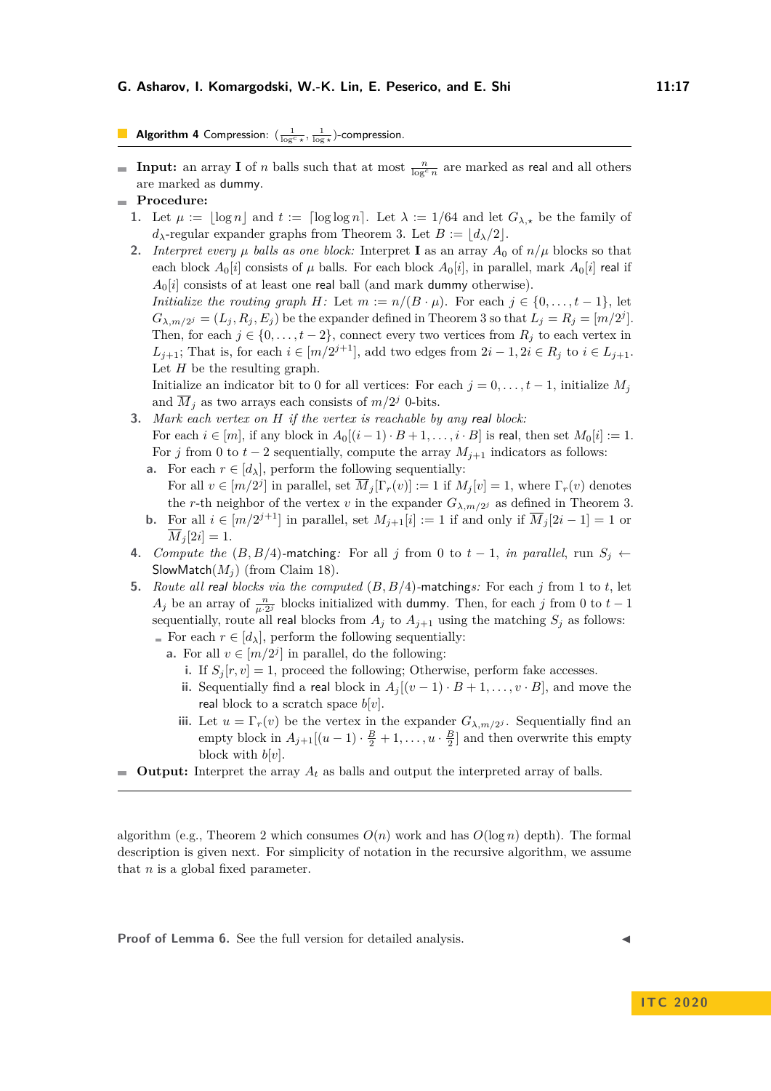# <span id="page-16-0"></span>Algorithm 4 Compression:  $\left(\frac{1}{\log^c x}, \frac{1}{\log x}\right)$ -compression.

- **Input:** an array **I** of *n* balls such that at most  $\frac{n}{\log^c n}$  are marked as real and all others are marked as dummy.
- **Procedure:**
	- **1.** Let  $\mu := |\log n|$  and  $t := \lceil \log \log n \rceil$ . Let  $\lambda := 1/64$  and let  $G_{\lambda, \star}$  be the family of  $d_{\lambda}$ -regular expander graphs from Theorem [3.](#page-8-1) Let  $B := |d_{\lambda}/2|$ .
	- **2.** *Interpret every*  $\mu$  *balls as one block:* Interpret **I** as an array  $A_0$  of  $n/\mu$  blocks so that each block  $A_0[i]$  consists of  $\mu$  balls. For each block  $A_0[i]$ , in parallel, mark  $A_0[i]$  real if  $A_0[i]$  consists of at least one real ball (and mark dummy otherwise).

*Initialize the routing graph H*: Let  $m := n/(B \cdot \mu)$ . For each  $j \in \{0, \ldots, t-1\}$ , let  $G_{\lambda,m/2^j} = (L_j, R_j, E_j)$  be the expander defined in Theorem [3](#page-8-1) so that  $L_j = R_j = [m/2^j]$ . Then, for each  $j \in \{0, \ldots, t-2\}$ , connect every two vertices from  $R_j$  to each vertex in *L*<sub>*j*+1</sub>; That is, for each  $i \in [m/2^{j+1}]$ , add two edges from  $2i - 1, 2i \in R_j$  to  $i \in L_{j+1}$ . Let *H* be the resulting graph.

Initialize an indicator bit to 0 for all vertices: For each  $j = 0, \ldots, t-1$ , initialize  $M_j$ and  $\overline{M}_j$  as two arrays each consists of  $m/2^j$  0-bits.

- **3.** *Mark each vertex on H if the vertex is reachable by any* real *block:* For each  $i \in [m]$ , if any block in  $A_0[(i-1) \cdot B + 1, \ldots, i \cdot B]$  is real, then set  $M_0[i] := 1$ . For *j* from 0 to  $t - 2$  sequentially, compute the array  $M_{j+1}$  indicators as follows:
	- **a.** For each  $r \in [d_{\lambda}]$ , perform the following sequentially: For all  $v \in [m/2^j]$  in parallel, set  $\overline{M}_j[\Gamma_r(v)] := 1$  if  $M_j[v] = 1$ , where  $\Gamma_r(v)$  denotes the *r*-th neighbor of the vertex *v* in the expander  $G_{\lambda,m/2}$  as defined in Theorem [3.](#page-8-1)
	- **b.** For all  $i \in [m/2^{j+1}]$  in parallel, set  $M_{j+1}[i] := 1$  if and only if  $\overline{M}_j[2i-1] = 1$  or  $\overline{M}_i[2i] = 1.$
- **4.** *Compute the* (*B, B/*4)*-matching:* For all *j* from 0 to  $t-1$ , *in parallel*, run *S<sub>j</sub>* ← SlowMatch $(M_i)$  (from Claim [18\)](#page-13-0).
- **5.** *Route all* real *blocks via the computed* (*B, B/*4)*-*matching*s:* For each *j* from 1 to *t*, let *A<sub>j</sub>* be an array of  $\frac{n}{\mu \cdot 2^j}$  blocks initialized with dummy. Then, for each *j* from 0 to *t* − 1 sequentially, route all real blocks from  $A_j$  to  $A_{j+1}$  using the matching  $S_j$  as follows:
	- For each  $r \in [d_{\lambda}]$ , perform the following sequentially:
		- **a.** For all  $v \in [m/2^j]$  in parallel, do the following:
			- **i.** If  $S_j[r, v] = 1$ , proceed the following; Otherwise, perform fake accesses.
			- **ii.** Sequentially find a real block in  $A_j[(v-1) \cdot B + 1, \ldots, v \cdot B]$ , and move the real block to a scratch space  $b[v]$ .
			- **iii.** Let  $u = \Gamma_r(v)$  be the vertex in the expander  $G_{\lambda, m/2}$ . Sequentially find an empty block in  $A_{j+1}[(u-1)\cdot \frac{B}{2}+1,\ldots,u\cdot \frac{B}{2}]$  and then overwrite this empty block with  $b[v]$ .
- **Output:** Interpret the array  $A_t$  as balls and output the interpreted array of balls.

algorithm (e.g., Theorem [2](#page-7-0) which consumes  $O(n)$  work and has  $O(\log n)$  depth). The formal description is given next. For simplicity of notation in the recursive algorithm, we assume that *n* is a global fixed parameter.

Proof of Lemma [6.](#page-9-1) See the full version for detailed analysis.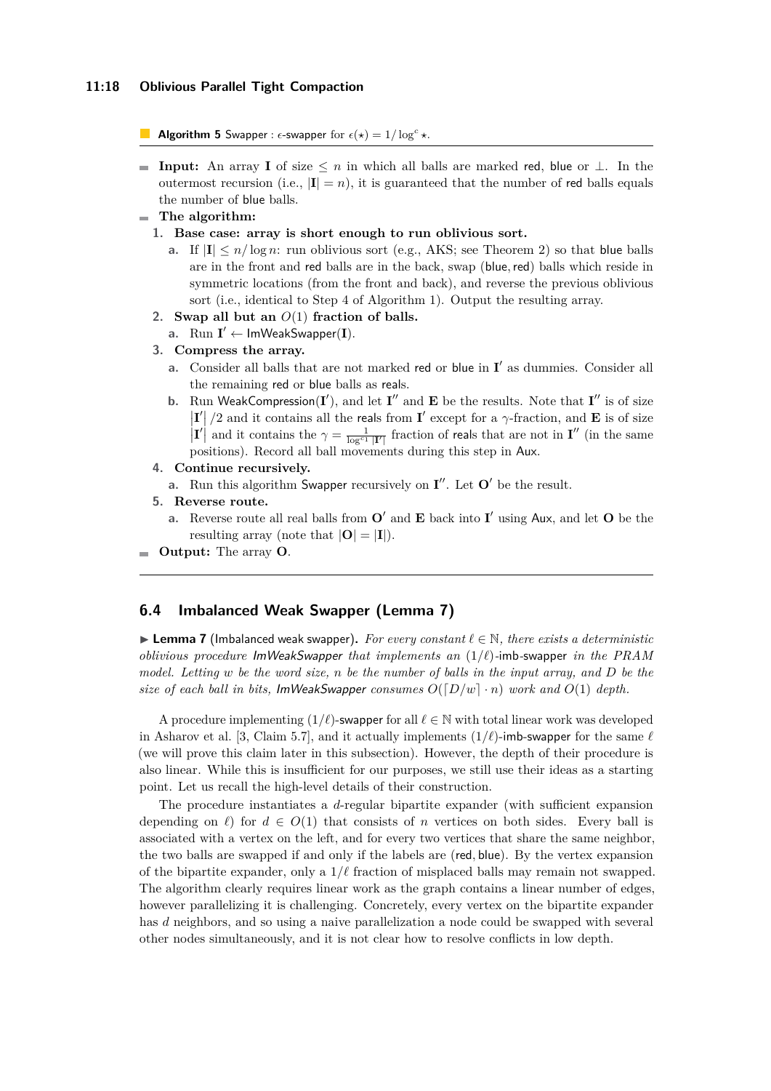**Algorithm 5** Swapper :  $\epsilon$ -swapper for  $\epsilon(\star) = 1/\log^c \star$ .

**II I Input:** An array **I** of size  $\leq n$  in which all balls are marked red, blue or  $\perp$ . In the outermost recursion (i.e.,  $|\mathbf{I}| = n$ ), it is guaranteed that the number of red balls equals the number of blue balls.

#### **The algorithm:**

- **1. Base case: array is short enough to run oblivious sort.**
	- **a.** If  $|\mathbf{I}| \leq n/\log n$ : run oblivious sort (e.g., AKS; see Theorem [2\)](#page-7-0) so that blue balls are in the front and red balls are in the back, swap (blue*,*red) balls which reside in symmetric locations (from the front and back), and reverse the previous oblivious sort (i.e., identical to Step [4](#page-12-6) of Algorithm [1\)](#page-12-0). Output the resulting array.
- **2. Swap all but an** *O*(1) **fraction of balls.**
- a.  $\text{Run } \mathbf{I}' \leftarrow \text{ImWeakSwapper}(\mathbf{I}).$
- **3. Compress the array.**
	- **a.** Consider all balls that are not marked red or blue in  $I'$  as dummies. Consider all the remaining red or blue balls as reals.
	- **b.** Run WeakCompression(**I**'), and let **I**'' and **E** be the results. Note that **I**'' is of size  $\left| \mathbf{I}' \right|$  /2 and it contains all the reals from **I**' except for a *γ*-fraction, and **E** is of size **I<sup>'</sup>** and it contains the  $\gamma = \frac{1}{\log^{c_1} |\mathbf{I}|}$  fraction of reals that are not in **I**<sup>''</sup> (in the same positions). Record all ball movements during this step in Aux.
- **4. Continue recursively.**
	- **a.** Run this algorithm Swapper recursively on  $I''$ . Let  $O'$  be the result.
- **5. Reverse route.**
	- **a.** Reverse route all real balls from  $O'$  and **E** back into **I**' using Aux, and let **O** be the resulting array (note that  $|\mathbf{O}| = |\mathbf{I}|$ ).
- **Output:** The array **O**.

## <span id="page-17-0"></span>**6.4 Imbalanced Weak Swapper (Lemma [7\)](#page-9-2)**

**Lemma 7** (Imbalanced weak swapper). For every constant  $\ell \in \mathbb{N}$ , there exists a deterministic *oblivious procedure* ImWeakSwapper *that implements an* (1*/`*)*-*imb*-*swapper *in the PRAM model. Letting w be the word size, n be the number of balls in the input array, and D be the size of each ball in bits, ImWeakSwapper consumes*  $O([D/w] \cdot n)$  *work and*  $O(1)$  *depth.* 

A procedure implementing  $(1/\ell)$ -swapper for all  $\ell \in \mathbb{N}$  with total linear work was developed in Asharov et al. [\[3,](#page-21-3) Claim 5.7], and it actually implements  $(1/\ell)$ -imb-swapper for the same  $\ell$ (we will prove this claim later in this subsection). However, the depth of their procedure is also linear. While this is insufficient for our purposes, we still use their ideas as a starting point. Let us recall the high-level details of their construction.

The procedure instantiates a *d*-regular bipartite expander (with sufficient expansion depending on  $\ell$ ) for  $d \in O(1)$  that consists of *n* vertices on both sides. Every ball is associated with a vertex on the left, and for every two vertices that share the same neighbor, the two balls are swapped if and only if the labels are (red*,* blue). By the vertex expansion of the bipartite expander, only a  $1/\ell$  fraction of misplaced balls may remain not swapped. The algorithm clearly requires linear work as the graph contains a linear number of edges, however parallelizing it is challenging. Concretely, every vertex on the bipartite expander has *d* neighbors, and so using a naive parallelization a node could be swapped with several other nodes simultaneously, and it is not clear how to resolve conflicts in low depth.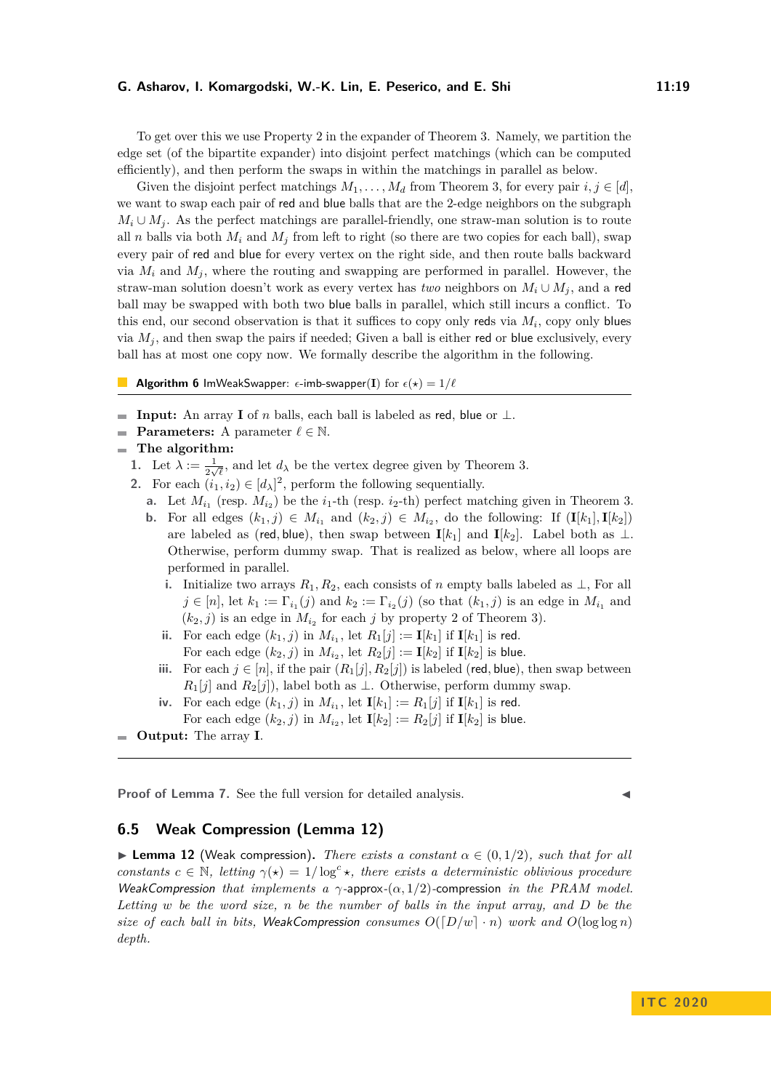To get over this we use Property [2](#page-8-2) in the expander of Theorem [3.](#page-8-1) Namely, we partition the edge set (of the bipartite expander) into disjoint perfect matchings (which can be computed efficiently), and then perform the swaps in within the matchings in parallel as below.

Given the disjoint perfect matchings  $M_1, \ldots, M_d$  from Theorem [3,](#page-8-1) for every pair  $i, j \in [d]$ , we want to swap each pair of red and blue balls that are the 2-edge neighbors on the subgraph  $M_i \cup M_i$ . As the perfect matchings are parallel-friendly, one straw-man solution is to route all *n* balls via both  $M_i$  and  $M_j$  from left to right (so there are two copies for each ball), swap every pair of red and blue for every vertex on the right side, and then route balls backward via  $M_i$  and  $M_j$ , where the routing and swapping are performed in parallel. However, the straw-man solution doesn't work as every vertex has *two* neighbors on  $M_i \cup M_j$ , and a red ball may be swapped with both two blue balls in parallel, which still incurs a conflict. To this end, our second observation is that it suffices to copy only reds via  $M_i$ , copy only blues via  $M_i$ , and then swap the pairs if needed; Given a ball is either red or blue exclusively, every ball has at most one copy now. We formally describe the algorithm in the following.

**Algorithm 6** ImWeakSwapper:  $\epsilon$ -imb-swapper(**I**) for  $\epsilon(x) = 1/\ell$ 

- **Input:** An array **I** of *n* balls, each ball is labeled as red, blue or  $\perp$ .
- **Parameters:** A parameter  $\ell \in \mathbb{N}$ .
- **The algorithm:**
	- **1.** Let  $\lambda := \frac{1}{2\sqrt{\ell}}$ , and let  $d_{\lambda}$  be the vertex degree given by Theorem [3.](#page-8-1)
	- **2.** For each  $(i_1, i_2) \in [d_\lambda]^2$ , perform the following sequentially.
		- **a.** Let  $M_{i_1}$  (resp.  $M_{i_2}$ ) be the  $i_1$ -th (resp.  $i_2$ -th) perfect matching given in Theorem [3.](#page-8-1)
		- **b.** For all edges  $(k_1, j) \in M_{i_1}$  and  $(k_2, j) \in M_{i_2}$ , do the following: If  $(\mathbf{I}[k_1], \mathbf{I}[k_2])$ are labeled as (red, blue), then swap between  $I[k_1]$  and  $I[k_2]$ . Label both as  $\perp$ . Otherwise, perform dummy swap. That is realized as below, where all loops are performed in parallel.
			- **i.** Initialize two arrays  $R_1, R_2$ , each consists of *n* empty balls labeled as ⊥, For all  $j \in [n]$ , let  $k_1 := \Gamma_{i_1}(j)$  and  $k_2 := \Gamma_{i_2}(j)$  (so that  $(k_1, j)$  is an edge in  $M_{i_1}$  and  $(k_2, j)$  is an edge in  $M_{i_2}$  for each *j* by property [2](#page-8-2) of Theorem [3\)](#page-8-1).
			- **ii.** For each edge  $(k_1, j)$  in  $M_{i_1}$ , let  $R_1[j] := I[k_1]$  if  $I[k_1]$  is red. For each edge  $(k_2, j)$  in  $M_{i_2}$ , let  $R_2[j] := \mathbf{I}[k_2]$  if  $\mathbf{I}[k_2]$  is blue.
			- **iii.** For each  $j \in [n]$ , if the pair  $(R_1[j], R_2[j])$  is labeled (red, blue), then swap between  $R_1[j]$  and  $R_2[j]$ ), label both as  $\perp$ . Otherwise, perform dummy swap.
			- **iv.** For each edge  $(k_1, j)$  in  $M_{i_1}$ , let  $\mathbf{I}[k_1] := R_1[j]$  if  $\mathbf{I}[k_1]$  is red. For each edge  $(k_2, j)$  in  $M_{i_2}$ , let  $I[k_2] := R_2[j]$  if  $I[k_2]$  is blue.

**Proof of Lemma [7.](#page-9-2)** See the full version for detailed analysis.

# <span id="page-18-0"></span>**6.5 Weak Compression (Lemma [12\)](#page-10-1)**

**I Lemma 12** (Weak compression). *There exists a constant*  $\alpha \in (0, 1/2)$ *, such that for all constants*  $c \in \mathbb{N}$ , letting  $\gamma(*) = 1/\log^c *$ , there exists a deterministic oblivious procedure WeakCompression *that implements a γ-*approx*-*(*α,* 1*/*2)*-*compression *in the PRAM model. Letting w be the word size, n be the number of balls in the input array, and D be the size of each ball in bits,* WeakCompression *consumes*  $O([D/w] \cdot n)$  *work and*  $O(\log \log n)$ *depth.*

**Output:** The array **I**.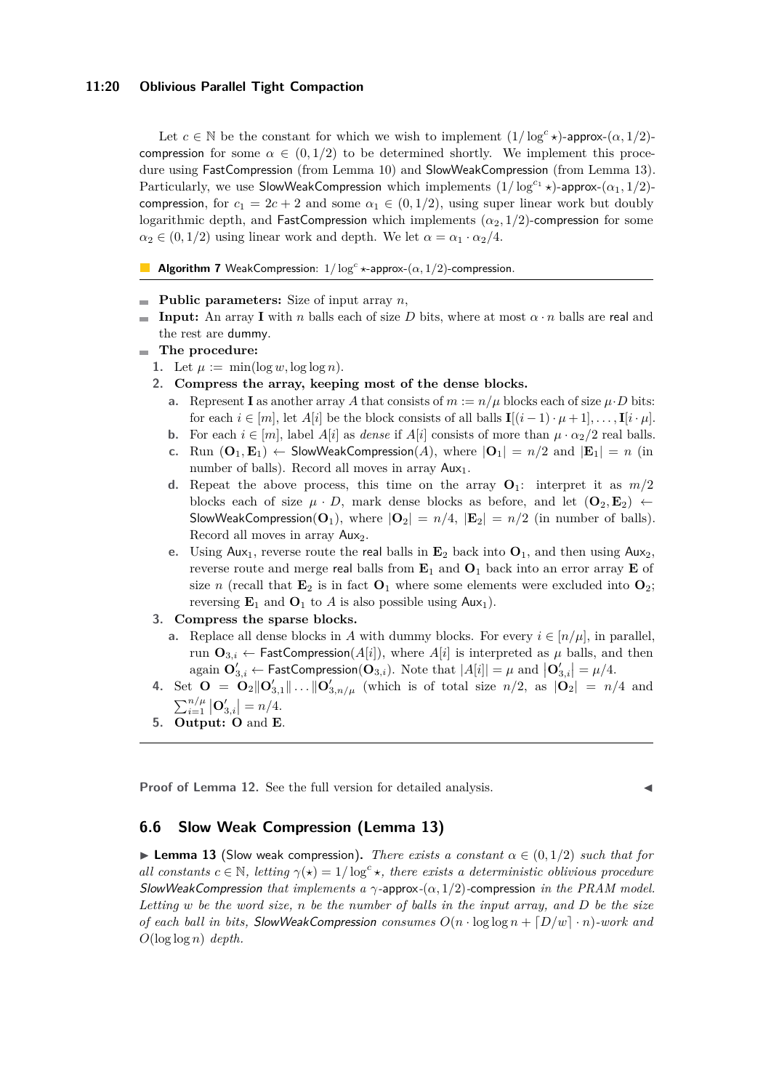#### **11:20 Oblivious Parallel Tight Compaction**

Let  $c \in \mathbb{N}$  be the constant for which we wish to implement  $(1/\log^c x)$ -approx- $(\alpha, 1/2)$ compression for some  $\alpha \in (0, 1/2)$  to be determined shortly. We implement this procedure using FastCompression (from Lemma [10\)](#page-10-0) and SlowWeakCompression (from Lemma [13\)](#page-10-2). Particularly, we use SlowWeakCompression which implements  $(1/\log^{c_1} x)$ -approx- $(\alpha_1, 1/2)$ compression, for  $c_1 = 2c + 2$  and some  $\alpha_1 \in (0, 1/2)$ , using super linear work but doubly logarithmic depth, and FastCompression which implements  $(\alpha_2, 1/2)$ -compression for some  $\alpha_2 \in (0, 1/2)$  using linear work and depth. We let  $\alpha = \alpha_1 \cdot \alpha_2/4$ .

**Algorithm 7** WeakCompression:  $1/\log^c *$ -approx- $(\alpha, 1/2)$ -compression.

- **Public parameters:** Size of input array *n*,
- **Input:** An array **I** with *n* balls each of size *D* bits, where at most  $\alpha \cdot n$  balls are real and  $\blacksquare$ the rest are dummy.
- **The procedure:**
	- 1. Let  $\mu := \min(\log w, \log \log n)$ .
	- **2. Compress the array, keeping most of the dense blocks.**
		- **a.** Represent **I** as another array *A* that consists of  $m := n/\mu$  blocks each of size  $\mu \cdot D$  bits: for each  $i \in [m]$ , let  $A[i]$  be the block consists of all balls  $\mathbf{I}[(i-1)\cdot \mu + 1], \ldots, \mathbf{I}[i\cdot \mu]$ .
		- **b.** For each  $i \in [m]$ , label  $A[i]$  as *dense* if  $A[i]$  consists of more than  $\mu \cdot \alpha_2/2$  real balls.
		- **c.** Run  $(\mathbf{O}_1, \mathbf{E}_1) \leftarrow$  SlowWeakCompression(A), where  $|\mathbf{O}_1| = n/2$  and  $|\mathbf{E}_1| = n$  (in number of balls). Record all moves in array  $Aux_1$ .
		- **d.** Repeat the above process, this time on the array  $\mathbf{O}_1$ : interpret it as  $m/2$ blocks each of size  $\mu \cdot D$ , mark dense blocks as before, and let  $(\mathbf{O}_2, \mathbf{E}_2) \leftarrow$ SlowWeakCompression( $O_1$ ), where  $|O_2| = n/4$ ,  $|E_2| = n/2$  (in number of balls). Record all moves in array Aux<sub>2</sub>.
		- **e.** Using Aux<sub>1</sub>, reverse route the real balls in  $\mathbf{E}_2$  back into  $\mathbf{O}_1$ , and then using Aux<sub>2</sub>, reverse route and merge real balls from  $\mathbf{E}_1$  and  $\mathbf{O}_1$  back into an error array  $\mathbf{E}$  of size *n* (recall that  $\mathbf{E}_2$  is in fact  $\mathbf{O}_1$  where some elements were excluded into  $\mathbf{O}_2$ ; reversing  $\mathbf{E}_1$  and  $\mathbf{O}_1$  to *A* is also possible using  $\mathsf{Aux}_1$ ).

## **3. Compress the sparse blocks.**

- **a.** Replace all dense blocks in *A* with dummy blocks. For every  $i \in [n/\mu]$ , in parallel, run  $\mathbf{O}_{3,i} \leftarrow$  FastCompression( $A[i]$ ), where  $A[i]$  is interpreted as  $\mu$  balls, and then again  $\mathbf{O}'_{3,i} \leftarrow$  FastCompression( $\mathbf{O}_{3,i}$ ). Note that  $|A[i]| = \mu$  and  $|\mathbf{O}'_{3,i}| = \mu/4$ .
- **4.** Set  $\mathbf{O} = \mathbf{O}_2 || \mathbf{O}'_{3,1} || \dots || \mathbf{O}'_{3,n/\mu}$  (which is of total size  $n/2$ , as  $|\mathbf{O}_2| = n/4$  and  $\sum_{i=1}^{n/\mu} |{\bf O}'_{3,i}| = n/4.$
- **5. Output: O** and **E**.

**Proof of Lemma [12.](#page-10-1)** See the full version for detailed analysis.

# <span id="page-19-0"></span>**6.6 Slow Weak Compression (Lemma [13\)](#page-10-2)**

 $\blacktriangleright$  **Lemma 13** (Slow weak compression). *There exists a constant*  $\alpha \in (0, 1/2)$  *such that for all constants*  $c \in \mathbb{N}$ , letting  $\gamma(*) = 1/\log^c *$ , there exists a deterministic oblivious procedure SlowWeakCompression *that implements a γ-*approx*-*(*α,* 1*/*2)*-*compression *in the PRAM model. Letting w be the word size, n be the number of balls in the input array, and D be the size of each ball in bits, SlowWeakCompression consumes*  $O(n \cdot \log \log n + [D/w] \cdot n)$ *-work and O*(log log *n*) *depth.*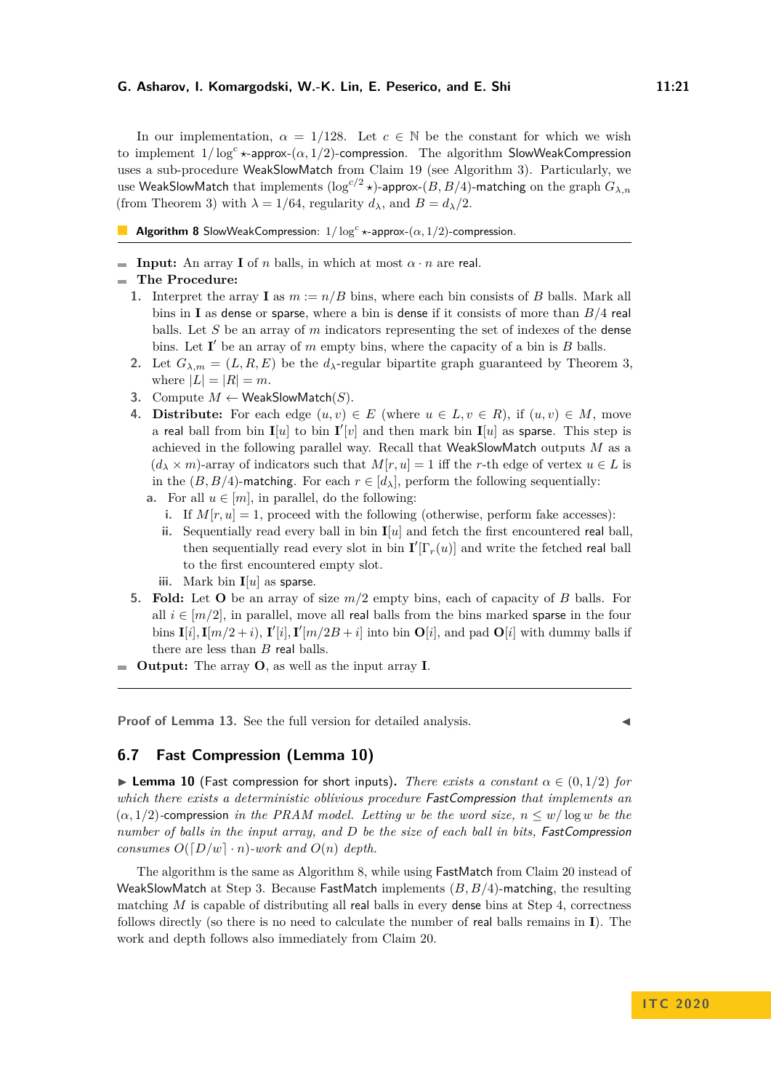In our implementation,  $\alpha = 1/128$ . Let  $c \in \mathbb{N}$  be the constant for which we wish to implement 1*/* log*<sup>c</sup> ?*-approx-(*α,* 1*/*2)-compression. The algorithm SlowWeakCompression uses a sub-procedure WeakSlowMatch from Claim [19](#page-13-1) (see Algorithm [3\)](#page-14-2). Particularly, we use WeakSlowMatch that implements  $(\log^{c/2} \star)$ -approx- $(B, B/4)$ -matching on the graph  $G_{\lambda,n}$ (from Theorem [3\)](#page-8-1) with  $\lambda = 1/64$ , regularity  $d_{\lambda}$ , and  $B = d_{\lambda}/2$ .

<span id="page-20-1"></span>**Algorithm 8** SlowWeakCompression:  $1/\log^c *$ -approx- $(\alpha, 1/2)$ -compression.

**Input:** An array **I** of *n* balls, in which at most  $\alpha \cdot n$  are real.

## **The Procedure:**

- **1.** Interpret the array **I** as  $m := n/B$  bins, where each bin consists of *B* balls. Mark all bins in **I** as dense or sparse, where a bin is dense if it consists of more than *B/*4 real balls. Let *S* be an array of *m* indicators representing the set of indexes of the dense bins. Let  $I'$  be an array of *m* empty bins, where the capacity of a bin is *B* balls.
- 2. Let  $G_{\lambda,m} = (L, R, E)$  be the  $d_{\lambda}$ -regular bipartite graph guaranteed by Theorem [3,](#page-8-1) where  $|L| = |R| = m$ .
- <span id="page-20-2"></span>**3.** Compute  $M \leftarrow$  WeakSlowMatch(S).
- <span id="page-20-3"></span>**4. Distribute:** For each edge  $(u, v) \in E$  (where  $u \in L, v \in R$ ), if  $(u, v) \in M$ , move a real ball from bin  $I[u]$  to bin  $I'[v]$  and then mark bin  $I[u]$  as sparse. This step is achieved in the following parallel way. Recall that WeakSlowMatch outputs *M* as a  $(d_{\lambda} \times m)$ -array of indicators such that  $M[r, u] = 1$  iff the *r*-th edge of vertex  $u \in L$  is in the  $(B, B/4)$ -matching. For each  $r \in [d_{\lambda}]$ , perform the following sequentially:
	- **a.** For all  $u \in [m]$ , in parallel, do the following:
		- **i.** If  $M[r, u] = 1$ , proceed with the following (otherwise, perform fake accesses):
		- **ii.** Sequentially read every ball in bin **I**[*u*] and fetch the first encountered real ball, then sequentially read every slot in bin  $\mathbf{I}'[\Gamma_r(u)]$  and write the fetched real ball to the first encountered empty slot.
		- **iii.** Mark bin **I**[*u*] as sparse.
- **5. Fold:** Let **O** be an array of size *m/*2 empty bins, each of capacity of *B* balls. For all  $i \in [m/2]$ , in parallel, move all real balls from the bins marked sparse in the four bins  $\mathbf{I}[i], \mathbf{I}[m/2 + i), \mathbf{I}'[i], \mathbf{I}'[m/2B + i]$  into bin  $\mathbf{O}[i]$ , and pad  $\mathbf{O}[i]$  with dummy balls if there are less than *B* real balls.
- **Output:** The array **O**, as well as the input array **I**.

**Proof of Lemma [13.](#page-10-2)** See the full version for detailed analysis.

# <span id="page-20-0"></span>**6.7 Fast Compression (Lemma [10\)](#page-10-0)**

**Example 10** (Fast compression for short inputs). There exists a constant  $\alpha \in (0,1/2)$  for *which there exists a deterministic oblivious procedure* FastCompression *that implements an*  $(\alpha, 1/2)$ -compression *in the PRAM model. Letting w be the word size,*  $n \leq w/\log w$  *be the number of balls in the input array, and D be the size of each ball in bits,* FastCompression *consumes*  $O([D/w] \cdot n)$ *-work and*  $O(n)$  *depth.* 

The algorithm is the same as Algorithm [8,](#page-20-1) while using FastMatch from Claim [20](#page-13-2) instead of WeakSlowMatch at Step [3.](#page-20-2) Because FastMatch implements (*B, B/*4)-matching, the resulting matching *M* is capable of distributing all real balls in every dense bins at Step [4,](#page-20-3) correctness follows directly (so there is no need to calculate the number of real balls remains in **I**). The work and depth follows also immediately from Claim [20.](#page-13-2)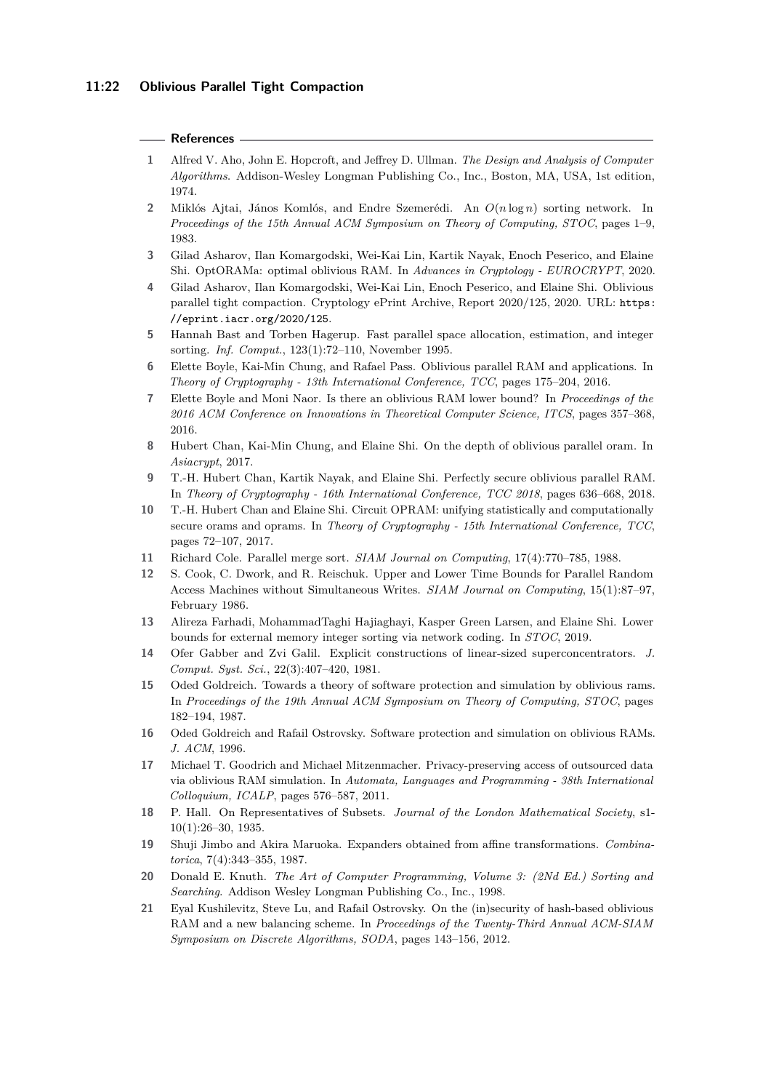### **References**

- <span id="page-21-16"></span>**1** Alfred V. Aho, John E. Hopcroft, and Jeffrey D. Ullman. *The Design and Analysis of Computer Algorithms*. Addison-Wesley Longman Publishing Co., Inc., Boston, MA, USA, 1st edition, 1974.
- <span id="page-21-6"></span>**2** Miklós Ajtai, János Komlós, and Endre Szemerédi. An *O*(*n* log *n*) sorting network. In *Proceedings of the 15th Annual ACM Symposium on Theory of Computing, STOC*, pages 1–9, 1983.
- <span id="page-21-3"></span>**3** Gilad Asharov, Ilan Komargodski, Wei-Kai Lin, Kartik Nayak, Enoch Peserico, and Elaine Shi. OptORAMa: optimal oblivious RAM. In *Advances in Cryptology - EUROCRYPT*, 2020.
- <span id="page-21-0"></span>**4** Gilad Asharov, Ilan Komargodski, Wei-Kai Lin, Enoch Peserico, and Elaine Shi. Oblivious parallel tight compaction. Cryptology ePrint Archive, Report 2020/125, 2020. URL: [https:](https://eprint.iacr.org/2020/125) [//eprint.iacr.org/2020/125](https://eprint.iacr.org/2020/125).
- <span id="page-21-15"></span>**5** Hannah Bast and Torben Hagerup. Fast parallel space allocation, estimation, and integer sorting. *Inf. Comput.*, 123(1):72–110, November 1995.
- <span id="page-21-11"></span>**6** Elette Boyle, Kai-Min Chung, and Rafael Pass. Oblivious parallel RAM and applications. In *Theory of Cryptography - 13th International Conference, TCC*, pages 175–204, 2016.
- <span id="page-21-7"></span>**7** Elette Boyle and Moni Naor. Is there an oblivious RAM lower bound? In *Proceedings of the 2016 ACM Conference on Innovations in Theoretical Computer Science, ITCS*, pages 357–368, 2016.
- <span id="page-21-2"></span>**8** Hubert Chan, Kai-Min Chung, and Elaine Shi. On the depth of oblivious parallel oram. In *Asiacrypt*, 2017.
- <span id="page-21-17"></span>**9** T.-H. Hubert Chan, Kartik Nayak, and Elaine Shi. Perfectly secure oblivious parallel RAM. In *Theory of Cryptography - 16th International Conference, TCC 2018*, pages 636–668, 2018.
- <span id="page-21-1"></span>**10** T.-H. Hubert Chan and Elaine Shi. Circuit OPRAM: unifying statistically and computationally secure orams and oprams. In *Theory of Cryptography - 15th International Conference, TCC*, pages 72–107, 2017.
- <span id="page-21-10"></span>**11** Richard Cole. Parallel merge sort. *SIAM Journal on Computing*, 17(4):770–785, 1988.
- <span id="page-21-9"></span>**12** S. Cook, C. Dwork, and R. Reischuk. Upper and Lower Time Bounds for Parallel Random Access Machines without Simultaneous Writes. *SIAM Journal on Computing*, 15(1):87–97, February 1986.
- <span id="page-21-8"></span>**13** Alireza Farhadi, MohammadTaghi Hajiaghayi, Kasper Green Larsen, and Elaine Shi. Lower bounds for external memory integer sorting via network coding. In *STOC*, 2019.
- <span id="page-21-18"></span>**14** Ofer Gabber and Zvi Galil. Explicit constructions of linear-sized superconcentrators. *J. Comput. Syst. Sci.*, 22(3):407–420, 1981.
- <span id="page-21-5"></span>**15** Oded Goldreich. Towards a theory of software protection and simulation by oblivious rams. In *Proceedings of the 19th Annual ACM Symposium on Theory of Computing, STOC*, pages 182–194, 1987.
- <span id="page-21-4"></span>**16** Oded Goldreich and Rafail Ostrovsky. Software protection and simulation on oblivious RAMs. *J. ACM*, 1996.
- <span id="page-21-12"></span>**17** Michael T. Goodrich and Michael Mitzenmacher. Privacy-preserving access of outsourced data via oblivious RAM simulation. In *Automata, Languages and Programming - 38th International Colloquium, ICALP*, pages 576–587, 2011.
- <span id="page-21-20"></span>**18** P. Hall. On Representatives of Subsets. *Journal of the London Mathematical Society*, s1- 10(1):26–30, 1935.
- <span id="page-21-19"></span>**19** Shuji Jimbo and Akira Maruoka. Expanders obtained from affine transformations. *Combinatorica*, 7(4):343–355, 1987.
- <span id="page-21-14"></span>**20** Donald E. Knuth. *The Art of Computer Programming, Volume 3: (2Nd Ed.) Sorting and Searching*. Addison Wesley Longman Publishing Co., Inc., 1998.
- <span id="page-21-13"></span>**21** Eyal Kushilevitz, Steve Lu, and Rafail Ostrovsky. On the (in)security of hash-based oblivious RAM and a new balancing scheme. In *Proceedings of the Twenty-Third Annual ACM-SIAM Symposium on Discrete Algorithms, SODA*, pages 143–156, 2012.